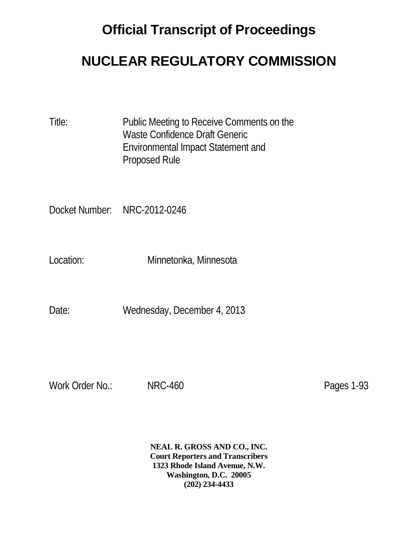# **Official Transcript of Proceedings**

# **NUCLEAR REGULATORY COMMISSION**

Title: Public Meeting to Receive Comments on the Waste Confidence Draft Generic Environmental Impact Statement and Proposed Rule

Docket Number: NRC-2012-0246

Location: Minnetonka, Minnesota

Date: Wednesday, December 4, 2013

Work Order No.: NRC-460 Pages 1-93

**NEAL R. GROSS AND CO., INC. Court Reporters and Transcribers 1323 Rhode Island Avenue, N.W. Washington, D.C. 20005 (202) 234-4433**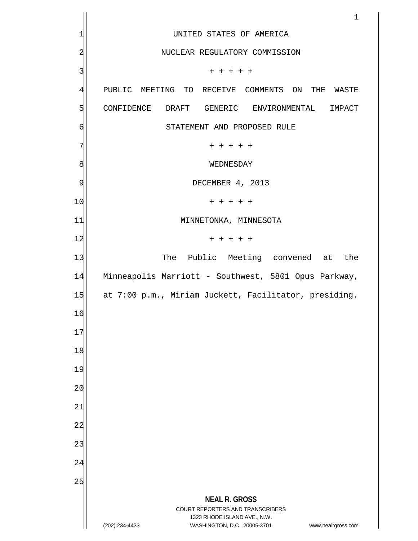|                | 1                                                                                        |
|----------------|------------------------------------------------------------------------------------------|
| 1              | UNITED STATES OF AMERICA                                                                 |
| $\overline{a}$ | NUCLEAR REGULATORY COMMISSION                                                            |
| 3              | + + + + +                                                                                |
| $\overline{4}$ | PUBLIC MEETING TO RECEIVE COMMENTS ON THE WASTE                                          |
| 5              | CONFIDENCE DRAFT GENERIC ENVIRONMENTAL<br>IMPACT                                         |
| 6              | STATEMENT AND PROPOSED RULE                                                              |
| 7              | $+ + + + +$                                                                              |
| 8              | WEDNESDAY                                                                                |
| 9              | DECEMBER 4, 2013                                                                         |
| 10             | $+ + + + + +$                                                                            |
| 11             | MINNETONKA, MINNESOTA                                                                    |
| 12             | + + + + +                                                                                |
| 13             | The Public Meeting convened at the                                                       |
| 14             | Minneapolis Marriott - Southwest, 5801 Opus Parkway,                                     |
| 15             | at 7:00 p.m., Miriam Juckett, Facilitator, presiding.                                    |
| 16             |                                                                                          |
| 17             |                                                                                          |
| 18             |                                                                                          |
| 19             |                                                                                          |
| 20             |                                                                                          |
| 21             |                                                                                          |
| 22             |                                                                                          |
| 23             |                                                                                          |
| 24             |                                                                                          |
| 25             |                                                                                          |
|                | <b>NEAL R. GROSS</b><br>COURT REPORTERS AND TRANSCRIBERS<br>1323 RHODE ISLAND AVE., N.W. |
|                | (202) 234-4433<br>WASHINGTON, D.C. 20005-3701<br>www.nealrgross.com                      |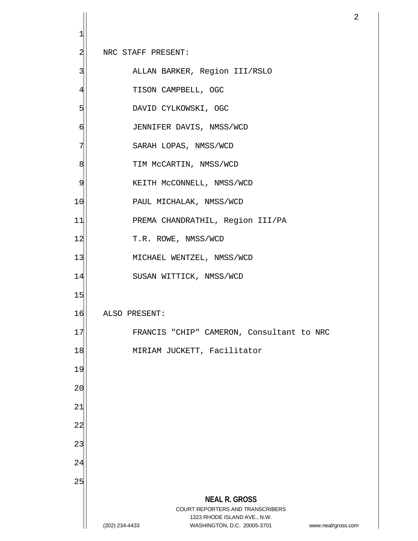**NEAL R. GROSS** COURT REPORTERS AND TRANSCRIBERS 1323 RHODE ISLAND AVE., N.W. (202) 234-4433 WASHINGTON, D.C. 20005-3701 www.nealrgross.com 1 2 NRC STAFF PRESENT: 3<sup>|</sup> ALLAN BARKER, Region III/RSLO 4 TISON CAMPBELL, OGC 5<sup>|</sup> DAVID CYLKOWSKI, OGC 6 JENNIFER DAVIS, NMSS/WCD 7 SARAH LOPAS, NMSS/WCD 8 | TIM McCARTIN, NMSS/WCD 9 | KEITH McCONNELL, NMSS/WCD 10 PAUL MICHALAK, NMSS/WCD 11 PREMA CHANDRATHIL, Region III/PA 12 T.R. ROWE, NMSS/WCD 13 | MICHAEL WENTZEL, NMSS/WCD 14 SUSAN WITTICK, NMSS/WCD 15 16 ALSO PRESENT: 17 | FRANCIS "CHIP" CAMERON, Consultant to NRC 18 MIRIAM JUCKETT, Facilitator 19 20 21 22 23 24 25

2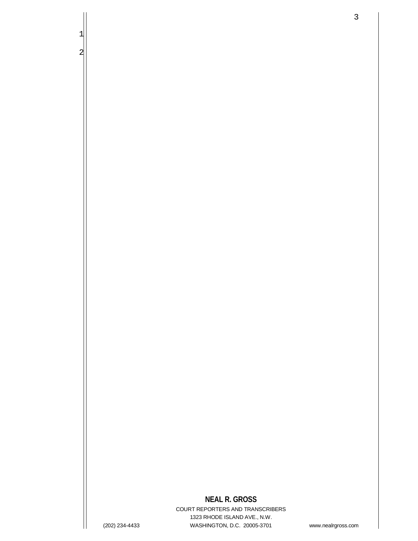### **NEAL R. GROSS**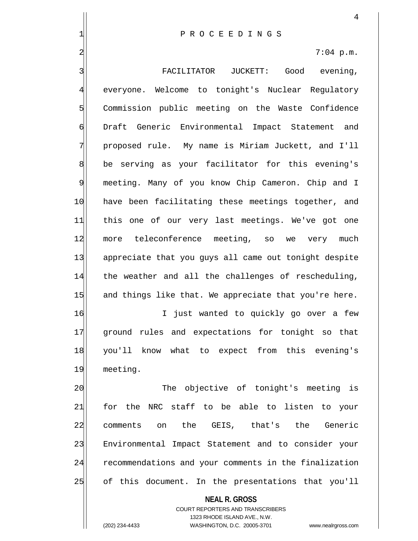$2 \mid 2 \mid 3 \mid 7:04 \text{ p.m.}$ 

4

3 | SACILITATOR JUCKETT: Good evening, 4 everyone. Welcome to tonight's Nuclear Regulatory 5 Commission public meeting on the Waste Confidence 6 Draft Generic Environmental Impact Statement and 7 | proposed rule. My name is Miriam Juckett, and I'll 8 be serving as your facilitator for this evening's 9 meeting. Many of you know Chip Cameron. Chip and I 10 have been facilitating these meetings together, and 11 this one of our very last meetings. We've got one 12 more teleconference meeting, so we very much 13 appreciate that you guys all came out tonight despite 14 the weather and all the challenges of rescheduling, 15 and things like that. We appreciate that you're here. 16 I just wanted to quickly go over a few 17 ground rules and expectations for tonight so that 18 you'll know what to expect from this evening's 19 meeting.

20 | The objective of tonight's meeting is 21 for the NRC staff to be able to listen to your 22|| comments on the GEIS, that's the Generic 23 Environmental Impact Statement and to consider your 24 recommendations and your comments in the finalization 25 of this document. In the presentations that you'll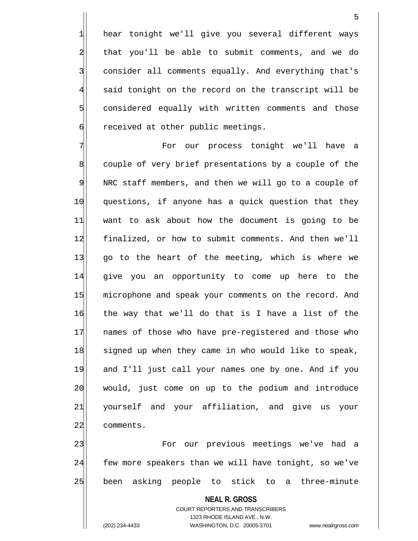1 hear tonight we'll give you several different ways 2 that you'll be able to submit comments, and we do 3 consider all comments equally. And everything that's 4 said tonight on the record on the transcript will be 5 5 5 considered equally with written comments and those  $6$  received at other public meetings.

7 The Sour process tonight we'll have a 8 couple of very brief presentations by a couple of the  $9$  NRC staff members, and then we will go to a couple of 10 questions, if anyone has a quick question that they 11 want to ask about how the document is going to be 12 finalized, or how to submit comments. And then we'll 13| go to the heart of the meeting, which is where we 14 give you an opportunity to come up here to the 15 microphone and speak your comments on the record. And 16 the way that we'll do that is I have a list of the 17 | names of those who have pre-registered and those who 18 signed up when they came in who would like to speak, 19 and I'll just call your names one by one. And if you 20 would, just come on up to the podium and introduce 21| yourself and your affiliation, and give us your 22 comments.

23 For our previous meetings we've had a 24 few more speakers than we will have tonight, so we've 25 been asking people to stick to a three-minute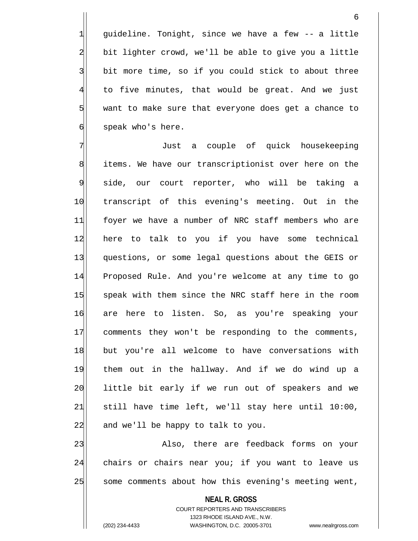guideline. Tonight, since we have a few  $-$  a little 2 bit lighter crowd, we'll be able to give you a little bit more time, so if you could stick to about three to five minutes, that would be great. And we just 5 want to make sure that everyone does get a chance to speak who's here.

7 7 Just a couple of quick housekeeping 8 items. We have our transcriptionist over here on the 9 side, our court reporter, who will be taking a 10 transcript of this evening's meeting. Out in the 11 foyer we have a number of NRC staff members who are 12 here to talk to you if you have some technical 13 questions, or some legal questions about the GEIS or 14 Proposed Rule. And you're welcome at any time to go 15 speak with them since the NRC staff here in the room 16 are here to listen. So, as you're speaking your 17 comments they won't be responding to the comments, 18 but you're all welcome to have conversations with 19| them out in the hallway. And if we do wind up a 20 little bit early if we run out of speakers and we 21 still have time left, we'll stay here until 10:00,  $22$  and we'll be happy to talk to you.

23 | Also, there are feedback forms on your 24 chairs or chairs near you; if you want to leave us 25 | some comments about how this evening's meeting went,

> **NEAL R. GROSS** COURT REPORTERS AND TRANSCRIBERS 1323 RHODE ISLAND AVE., N.W. (202) 234-4433 WASHINGTON, D.C. 20005-3701 www.nealrgross.com

6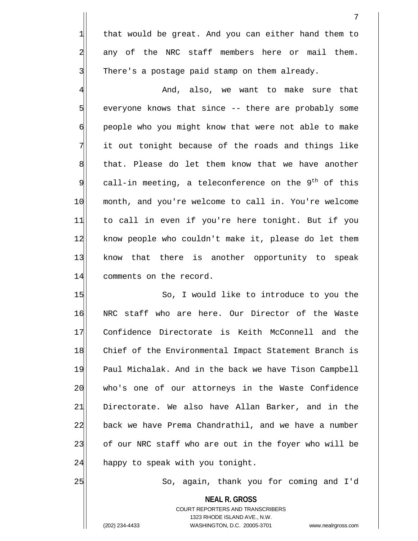1 that would be great. And you can either hand them to 2 any of the NRC staff members here or mail them.  $3$  There's a postage paid stamp on them already.

4 And, also, we want to make sure that  $5$  everyone knows that since  $-$ - there are probably some 6 people who you might know that were not able to make 7 The it out tonight because of the roads and things like 8 | that. Please do let them know that we have another  $9$  call-in meeting, a teleconference on the 9<sup>th</sup> of this 10 month, and you're welcome to call in. You're welcome 11 to call in even if you're here tonight. But if you 12 know people who couldn't make it, please do let them 13 know that there is another opportunity to speak 14 comments on the record.

15 So, I would like to introduce to you the 16 NRC staff who are here. Our Director of the Waste 17 Confidence Directorate is Keith McConnell and the 18 Chief of the Environmental Impact Statement Branch is 19 Paul Michalak. And in the back we have Tison Campbell 20 who's one of our attorneys in the Waste Confidence 21 Directorate. We also have Allan Barker, and in the 22 back we have Prema Chandrathil, and we have a number 23 of our NRC staff who are out in the foyer who will be  $24$  happy to speak with you tonight.

25 So, again, thank you for coming and I'd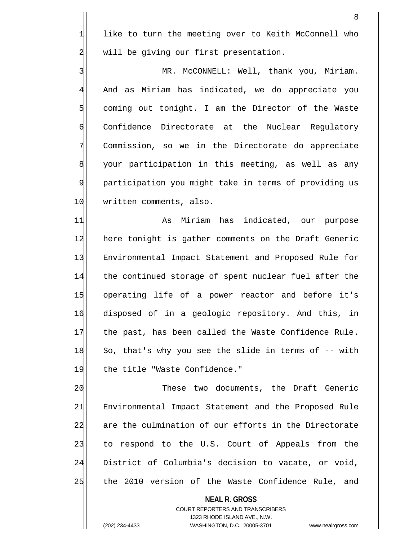1 like to turn the meeting over to Keith McConnell who  $2$  will be giving our first presentation.

3 | MR. McCONNELL: Well, thank you, Miriam.  $4$  And as Miriam has indicated, we do appreciate you  $5$  coming out tonight. I am the Director of the Waste 6 Confidence Directorate at the Nuclear Regulatory 7 Commission, so we in the Directorate do appreciate 8 your participation in this meeting, as well as any 9 participation you might take in terms of providing us 10 written comments, also.

11 As Miriam has indicated, our purpose 12 here tonight is gather comments on the Draft Generic 13 Environmental Impact Statement and Proposed Rule for 14 the continued storage of spent nuclear fuel after the 15 operating life of a power reactor and before it's 16 disposed of in a geologic repository. And this, in 17 the past, has been called the Waste Confidence Rule.  $18$  So, that's why you see the slide in terms of  $-$ - with 19 the title "Waste Confidence."

20 These two documents, the Draft Generic 21 Environmental Impact Statement and the Proposed Rule 22 are the culmination of our efforts in the Directorate 23 to respond to the U.S. Court of Appeals from the 24 District of Columbia's decision to vacate, or void, 25 the 2010 version of the Waste Confidence Rule, and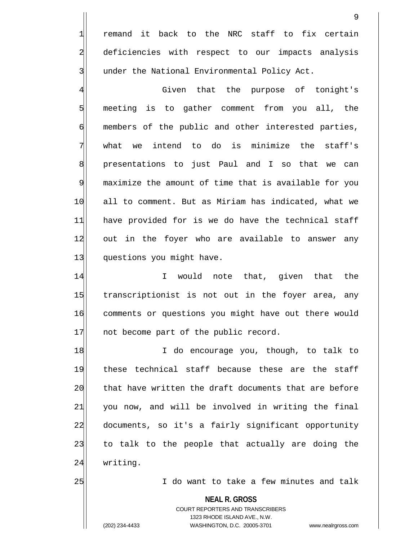$1$  remand it back to the NRC staff to fix certain 2 deficiencies with respect to our impacts analysis 3 3 under the National Environmental Policy Act.

4 Given that the purpose of tonight's  $5$  meeting is to gather comment from you all, the  $6$  members of the public and other interested parties,  $7$  what we intend to do is minimize the staff's 8 | states presentations to just Paul and I so that we can 9 maximize the amount of time that is available for you 10 all to comment. But as Miriam has indicated, what we 11 have provided for is we do have the technical staff 12 out in the foyer who are available to answer any 13 questions you might have.

14 I would note that, given that the 15 | transcriptionist is not out in the foyer area, any 16 comments or questions you might have out there would 17 not become part of the public record.

18 I do encourage you, though, to talk to 19 these technical staff because these are the staff 20 that have written the draft documents that are before 21 you now, and will be involved in writing the final 22 documents, so it's a fairly significant opportunity 23 to talk to the people that actually are doing the 24 writing.

25 and the U do want to take a few minutes and talk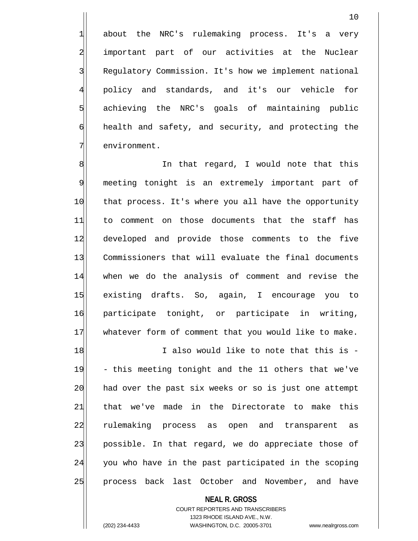1 about the NRC's rulemaking process. It's a very 2 important part of our activities at the Nuclear 3 Regulatory Commission. It's how we implement national 4 policy and standards, and it's our vehicle for 5 5 5 5 achieving the NRC's goals of maintaining public 6 6 health and safety, and security, and protecting the 7 environment.

8 8 In that regard, I would note that this 9 meeting tonight is an extremely important part of 10 that process. It's where you all have the opportunity 11 to comment on those documents that the staff has 12 developed and provide those comments to the five 13 Commissioners that will evaluate the final documents 14 when we do the analysis of comment and revise the 15 existing drafts. So, again, I encourage you to 16 participate tonight, or participate in writing, 17 whatever form of comment that you would like to make.

18 I also would like to note that this is -19 - this meeting tonight and the 11 others that we've 20 had over the past six weeks or so is just one attempt 21| that we've made in the Directorate to make this 22 rulemaking process as open and transparent as 23 possible. In that regard, we do appreciate those of 24 you who have in the past participated in the scoping 25 process back last October and November, and have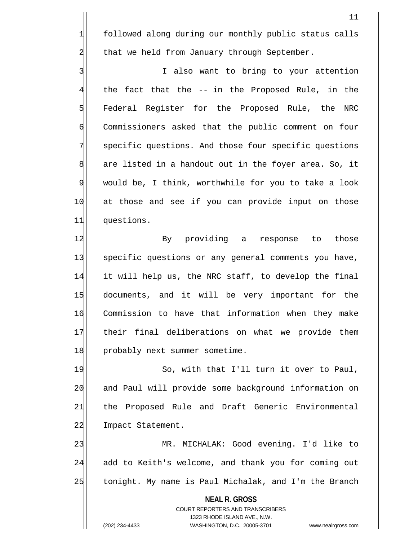1 followed along during our monthly public status calls  $2$  that we held from January through September.

3 | 3| I also want to bring to your attention  $4$  the fact that the  $-$  in the Proposed Rule, in the 5 | Federal Register for the Proposed Rule, the NRC  $6$  Commissioners asked that the public comment on four 7 | specific questions. And those four specific questions 8 are listed in a handout out in the foyer area. So, it  $9$  would be, I think, worthwhile for you to take a look 10 at those and see if you can provide input on those 11 questions.

12 By providing a response to those 13 | specific questions or any general comments you have, 14 it will help us, the NRC staff, to develop the final 15 documents, and it will be very important for the 16 Commission to have that information when they make 17 their final deliberations on what we provide them 18 probably next summer sometime.

19 So, with that I'll turn it over to Paul, 20 and Paul will provide some background information on 21 | the Proposed Rule and Draft Generic Environmental 22 Impact Statement.

23 MR. MICHALAK: Good evening. I'd like to 24 add to Keith's welcome, and thank you for coming out 25 tonight. My name is Paul Michalak, and I'm the Branch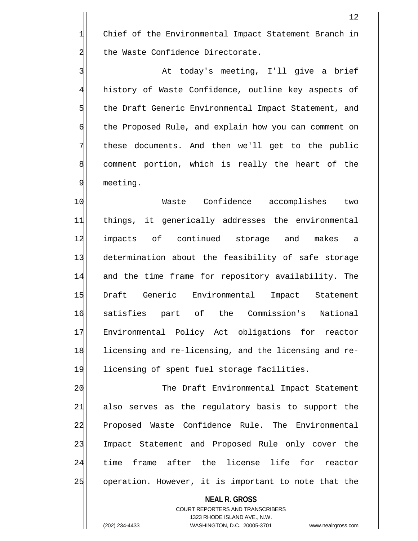1 Chief of the Environmental Impact Statement Branch in  $2$  the Waste Confidence Directorate.

3 | 3| At today's meeting, I'll give a brief 4 history of Waste Confidence, outline key aspects of 5 | the Draft Generic Environmental Impact Statement, and 6 the Proposed Rule, and explain how you can comment on 7 These documents. And then we'll get to the public 8 comment portion, which is really the heart of the 9 meeting.

10 Waste Confidence accomplishes two 11 things, it generically addresses the environmental 12 impacts of continued storage and makes a 13 determination about the feasibility of safe storage 14 and the time frame for repository availability. The 15 Draft Generic Environmental Impact Statement 16 satisfies part of the Commission's National 17 Environmental Policy Act obligations for reactor 18 licensing and re-licensing, and the licensing and re-19 licensing of spent fuel storage facilities.

20 The Draft Environmental Impact Statement 21 also serves as the regulatory basis to support the 22 Proposed Waste Confidence Rule. The Environmental 23 Impact Statement and Proposed Rule only cover the 24 time frame after the license life for reactor 25 operation. However, it is important to note that the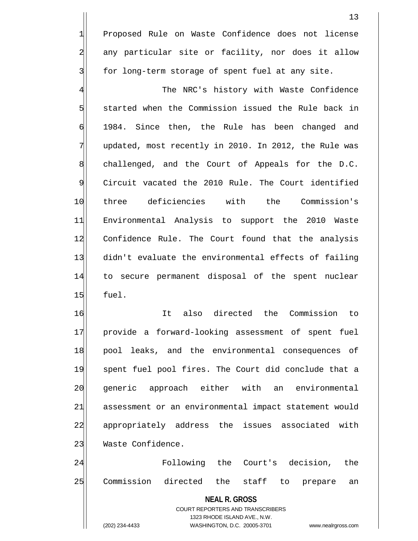1 Proposed Rule on Waste Confidence does not license 2 any particular site or facility, nor does it allow  $3$  for long-term storage of spent fuel at any site.

4 The NRC's history with Waste Confidence 5 started when the Commission issued the Rule back in  $6$  1984. Since then, the Rule has been changed and 7 7 updated, most recently in 2010. In 2012, the Rule was  $8$  challenged, and the Court of Appeals for the D.C.  $9$  Circuit vacated the 2010 Rule. The Court identified 10 three deficiencies with the Commission's 11 Environmental Analysis to support the 2010 Waste 12 Confidence Rule. The Court found that the analysis 13 didn't evaluate the environmental effects of failing 14 to secure permanent disposal of the spent nuclear 15 fuel.

16 It also directed the Commission to 17 | provide a forward-looking assessment of spent fuel 18 pool leaks, and the environmental consequences of 19| spent fuel pool fires. The Court did conclude that a 20 generic approach either with an environmental 21 assessment or an environmental impact statement would 22 appropriately address the issues associated with 23 Waste Confidence.

24 Following the Court's decision, the 25 Commission directed the staff to prepare an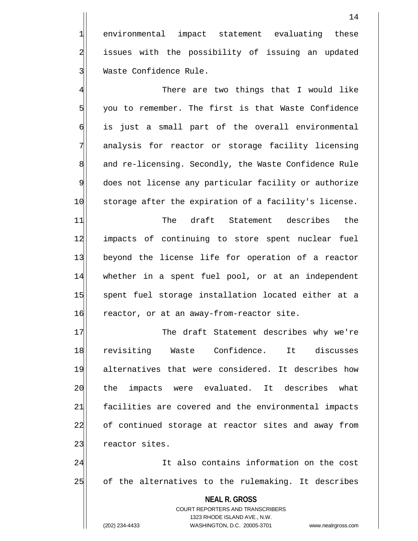1 environmental impact statement evaluating these 2 issues with the possibility of issuing an updated 3 Waste Confidence Rule.

4 There are two things that I would like  $5$  you to remember. The first is that Waste Confidence  $6$  is just a small part of the overall environmental 7 analysis for reactor or storage facility licensing 8 and re-licensing. Secondly, the Waste Confidence Rule 9 does not license any particular facility or authorize 10 storage after the expiration of a facility's license.

11 The draft Statement describes the 12 impacts of continuing to store spent nuclear fuel 13 beyond the license life for operation of a reactor 14 whether in a spent fuel pool, or at an independent 15 spent fuel storage installation located either at a 16 reactor, or at an away-from-reactor site.

17 The draft Statement describes why we're 18 revisiting Waste Confidence. It discusses 19 alternatives that were considered. It describes how 20 | the impacts were evaluated. It describes what 21 facilities are covered and the environmental impacts 22 of continued storage at reactor sites and away from 23 reactor sites.

24 It also contains information on the cost 25 of the alternatives to the rulemaking. It describes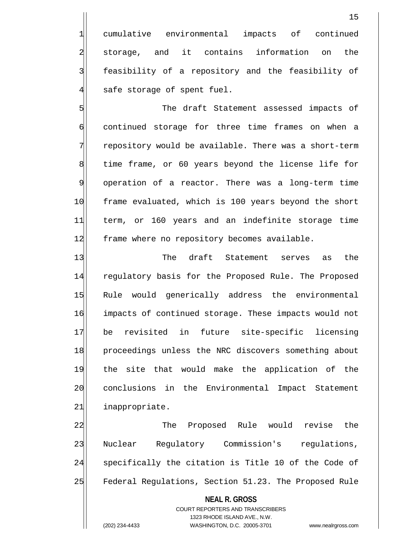cumulative environmental impacts of continued storage, and it contains information on the 3 | feasibility of a repository and the feasibility of safe storage of spent fuel.

5 | S  $6$  continued storage for three time frames on when a 7 repository would be available. There was a short-term 8 time frame, or 60 years beyond the license life for 9 operation of a reactor. There was a long-term time 10 frame evaluated, which is 100 years beyond the short 11 term, or 160 years and an indefinite storage time 12 frame where no repository becomes available.

13 The draft Statement serves as the 14 regulatory basis for the Proposed Rule. The Proposed 15 Rule would generically address the environmental 16 impacts of continued storage. These impacts would not 17 be revisited in future site-specific licensing 18 proceedings unless the NRC discovers something about 19 | the site that would make the application of the 20 conclusions in the Environmental Impact Statement 21 inappropriate.

22 The Proposed Rule would revise the 23 Nuclear Requlatory Commission's requlations, 24 specifically the citation is Title 10 of the Code of 25 Federal Regulations, Section 51.23. The Proposed Rule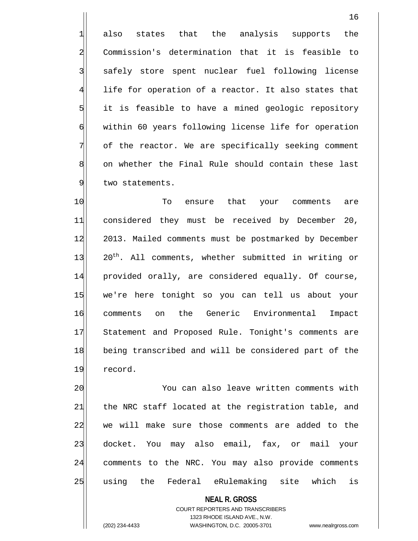1 also states that the analysis supports the 2 Commission's determination that it is feasible to 3 safely store spent nuclear fuel following license 4 life for operation of a reactor. It also states that  $5$  it is feasible to have a mined geologic repository 6 within 60 years following license life for operation 7 of the reactor. We are specifically seeking comment 8 on whether the Final Rule should contain these last  $9$  two statements.

10 To ensure that your comments are 11 considered they must be received by December 20, 12 2013. Mailed comments must be postmarked by December 13 20<sup>th</sup>. All comments, whether submitted in writing or 14 provided orally, are considered equally. Of course, 15 we're here tonight so you can tell us about your 16 comments on the Generic Environmental Impact 17 Statement and Proposed Rule. Tonight's comments are 18 being transcribed and will be considered part of the 19 record.

20 You can also leave written comments with 21 the NRC staff located at the registration table, and 22 | we will make sure those comments are added to the 23 docket. You may also email, fax, or mail your 24 comments to the NRC. You may also provide comments 25 using the Federal eRulemaking site which is

> **NEAL R. GROSS** COURT REPORTERS AND TRANSCRIBERS 1323 RHODE ISLAND AVE., N.W. (202) 234-4433 WASHINGTON, D.C. 20005-3701 www.nealrgross.com

16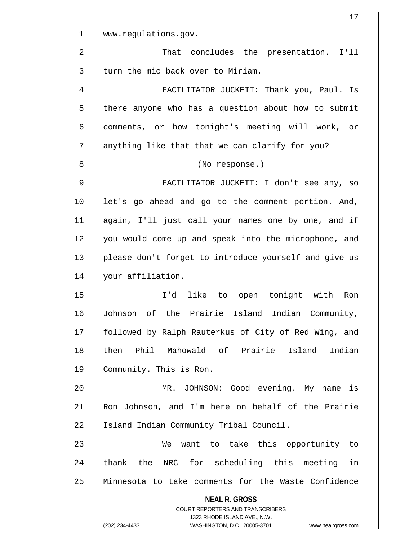|              | 17                                                                                                  |
|--------------|-----------------------------------------------------------------------------------------------------|
| $\mathbf{1}$ | www.regulations.gov.                                                                                |
| 2            | That concludes the presentation. I'll                                                               |
| 3            | turn the mic back over to Miriam.                                                                   |
| 4            | FACILITATOR JUCKETT: Thank you, Paul. Is                                                            |
| 5            | there anyone who has a question about how to submit                                                 |
| 6            | comments, or how tonight's meeting will work, or                                                    |
| 7            | anything like that that we can clarify for you?                                                     |
| 8            | (No response.)                                                                                      |
| 9            | FACILITATOR JUCKETT: I don't see any, so                                                            |
| 10           | let's go ahead and go to the comment portion. And,                                                  |
| 11           | again, I'll just call your names one by one, and if                                                 |
| 12           | you would come up and speak into the microphone, and                                                |
| 13           | please don't forget to introduce yourself and give us                                               |
| 14           | your affiliation.                                                                                   |
| 15           | I'd<br>like to open tonight with<br>Ron                                                             |
| 16           | of the Prairie Island Indian Community,<br>Johnson                                                  |
| 17           | followed by Ralph Rauterkus of City of Red Wing, and                                                |
| 18           | Phil<br>Mahowald of Prairie Island<br>Indian<br>then                                                |
| 19           | Community. This is Ron.                                                                             |
| 20           | MR. JOHNSON: Good evening. My name is                                                               |
| 21           | Ron Johnson, and I'm here on behalf of the Prairie                                                  |
| 22           | Island Indian Community Tribal Council.                                                             |
| 23           | want to take this opportunity to<br>We                                                              |
| 24           | for scheduling this meeting<br>thank the NRC<br>in                                                  |
| 25           | Minnesota to take comments for the Waste Confidence                                                 |
|              | <b>NEAL R. GROSS</b>                                                                                |
|              | COURT REPORTERS AND TRANSCRIBERS                                                                    |
|              | 1323 RHODE ISLAND AVE., N.W.<br>WASHINGTON, D.C. 20005-3701<br>(202) 234-4433<br>www.nealrgross.com |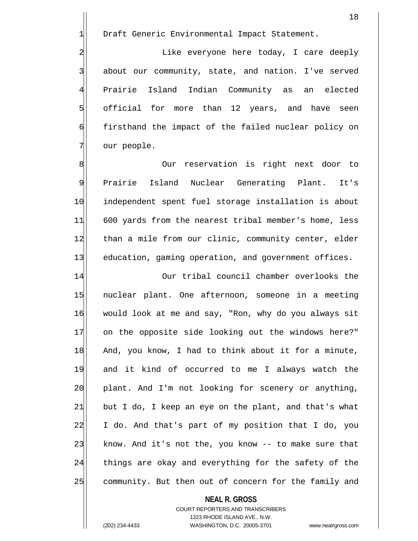1 Draft Generic Environmental Impact Statement.

2 2 Like everyone here today, I care deeply 3 about our community, state, and nation. I've served 4 Prairie Island Indian Community as an elected 5 official for more than 12 years, and have seen 6 6 firsthand the impact of the failed nuclear policy on 7 our people.

8 8 Our reservation is right next door to 9 Prairie Island Nuclear Generating Plant. It's 10 | independent spent fuel storage installation is about 11 600 yards from the nearest tribal member's home, less 12 than a mile from our clinic, community center, elder 13 education, gaming operation, and government offices.

14 Our tribal council chamber overlooks the 15 nuclear plant. One afternoon, someone in a meeting 16 would look at me and say, "Ron, why do you always sit 17 on the opposite side looking out the windows here?" 18 And, you know, I had to think about it for a minute, 19 and it kind of occurred to me I always watch the 20 plant. And I'm not looking for scenery or anything, 21| but I do, I keep an eye on the plant, and that's what 22 I do. And that's part of my position that I do, you 23 know. And it's not the, you know -- to make sure that 24 things are okay and everything for the safety of the 25 community. But then out of concern for the family and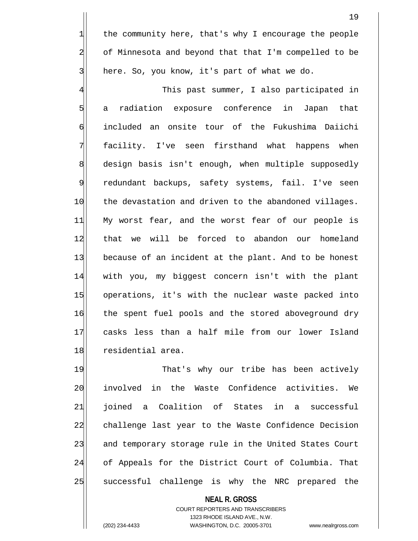1 the community here, that's why I encourage the people 2 of Minnesota and beyond that that I'm compelled to be  $3$  here. So, you know, it's part of what we do.

4 This past summer, I also participated in 5 a radiation exposure conference in Japan that 6 included an onsite tour of the Fukushima Daiichi 7 | facility. I've seen firsthand what happens when 8 design basis isn't enough, when multiple supposedly 9 redundant backups, safety systems, fail. I've seen 10 the devastation and driven to the abandoned villages. 11 My worst fear, and the worst fear of our people is 12 that we will be forced to abandon our homeland 13 because of an incident at the plant. And to be honest 14 with you, my biggest concern isn't with the plant 15 operations, it's with the nuclear waste packed into 16 the spent fuel pools and the stored aboveground dry 17 casks less than a half mile from our lower Island 18 residential area.

19 That's why our tribe has been actively 20 involved in the Waste Confidence activities. We 21 *joined a Coalition of States in a successful* 22 challenge last year to the Waste Confidence Decision 23 and temporary storage rule in the United States Court 24 of Appeals for the District Court of Columbia. That 25 successful challenge is why the NRC prepared the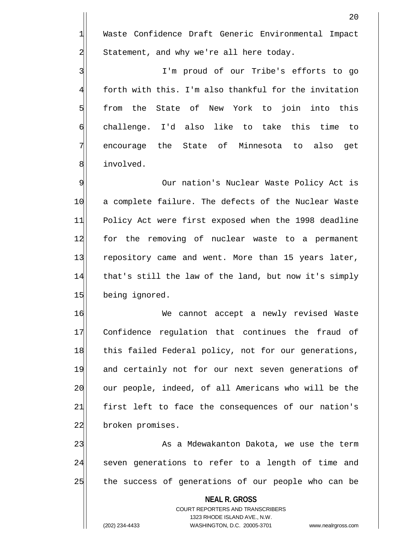1 Waste Confidence Draft Generic Environmental Impact  $2$  Statement, and why we're all here today.

3 | I'm proud of our Tribe's efforts to go  $4$  forth with this. I'm also thankful for the invitation 5 | from the State of New York to join into this  $6$  challenge. I'd also like to take this time to 7 encourage the State of Minnesota to also get 8 8 involved.

9 Our nation's Nuclear Waste Policy Act is 10 a complete failure. The defects of the Nuclear Waste 11 Policy Act were first exposed when the 1998 deadline 12 for the removing of nuclear waste to a permanent 13 repository came and went. More than 15 years later, 14 that's still the law of the land, but now it's simply 15 being ignored.

16 We cannot accept a newly revised Waste 17 Confidence regulation that continues the fraud of 18 this failed Federal policy, not for our generations, 19 and certainly not for our next seven generations of 20 our people, indeed, of all Americans who will be the 21 first left to face the consequences of our nation's 22 broken promises.

23 as a Mdewakanton Dakota, we use the term 24 seven generations to refer to a length of time and 25 the success of generations of our people who can be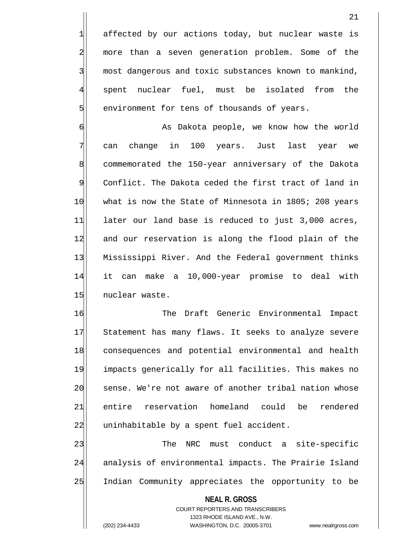$1$  affected by our actions today, but nuclear waste is 2 more than a seven generation problem. Some of the 3 most dangerous and toxic substances known to mankind, 4 spent nuclear fuel, must be isolated from the 5 | environment for tens of thousands of years.

6 6 6 As Dakota people, we know how the world 7|| can change in 100 years. Just last year we 8 8 commemorated the 150-year anniversary of the Dakota  $9$  Conflict. The Dakota ceded the first tract of land in 10 what is now the State of Minnesota in 1805; 208 years 11 later our land base is reduced to just 3,000 acres, 12 and our reservation is along the flood plain of the 13 Mississippi River. And the Federal government thinks 14 it can make a 10,000-year promise to deal with 15 nuclear waste.

16 The Draft Generic Environmental Impact 17 Statement has many flaws. It seeks to analyze severe 18 consequences and potential environmental and health 19 impacts generically for all facilities. This makes no 20 sense. We're not aware of another tribal nation whose 21 entire reservation homeland could be rendered 22 uninhabitable by a spent fuel accident.

23 and the NRC must conduct a site-specific 24 analysis of environmental impacts. The Prairie Island 25 Indian Community appreciates the opportunity to be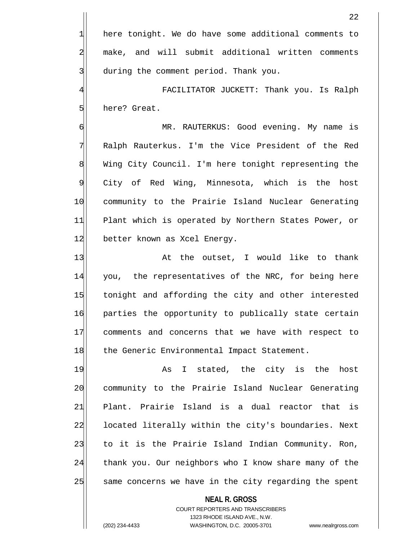22 1 here tonight. We do have some additional comments to 2| make, and will submit additional written comments 3 during the comment period. Thank you. 4 FACILITATOR JUCKETT: Thank you. Is Ralph  $5$  here? Great. 6 MR. RAUTERKUS: Good evening. My name is 7 Ralph Rauterkus. I'm the Vice President of the Red 8 Wing City Council. I'm here tonight representing the 9 City of Red Wing, Minnesota, which is the host 10 community to the Prairie Island Nuclear Generating 11 Plant which is operated by Northern States Power, or 12 better known as Xcel Energy. 13 at the outset, I would like to thank 14 you, the representatives of the NRC, for being here 15 tonight and affording the city and other interested 16 parties the opportunity to publically state certain 17 comments and concerns that we have with respect to 18 the Generic Environmental Impact Statement. 19 as I stated, the city is the host 20 community to the Prairie Island Nuclear Generating 21 Plant. Prairie Island is a dual reactor that is 22 located literally within the city's boundaries. Next 23 to it is the Prairie Island Indian Community. Ron,

24 | thank you. Our neighbors who I know share many of the 25 Same concerns we have in the city regarding the spent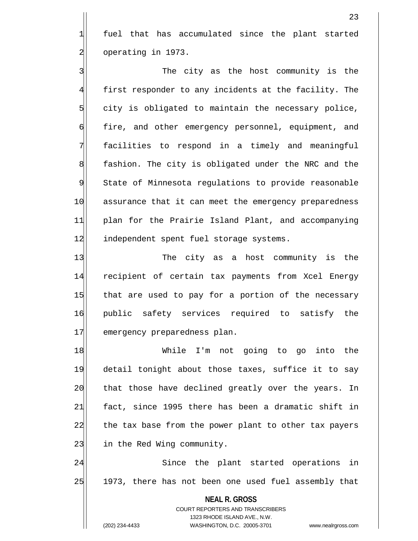1 fuel that has accumulated since the plant started 2 operating in 1973.

3 3 3 The city as the host community is the 4 first responder to any incidents at the facility. The  $5$  city is obligated to maintain the necessary police, 6 fire, and other emergency personnel, equipment, and 7 | facilities to respond in a timely and meaningful 8 8 fashion. The city is obligated under the NRC and the 9 State of Minnesota regulations to provide reasonable 10 assurance that it can meet the emergency preparedness 11 plan for the Prairie Island Plant, and accompanying 12 independent spent fuel storage systems.

13 The city as a host community is the 14 recipient of certain tax payments from Xcel Energy 15 that are used to pay for a portion of the necessary 16 public safety services required to satisfy the 17 emergency preparedness plan.

18 and 18 While I'm not going to go into the 19 detail tonight about those taxes, suffice it to say 20 that those have declined greatly over the years. In  $21$  fact, since 1995 there has been a dramatic shift in 22 the tax base from the power plant to other tax payers 23 in the Red Wing community.

24 Since the plant started operations in 25 1973, there has not been one used fuel assembly that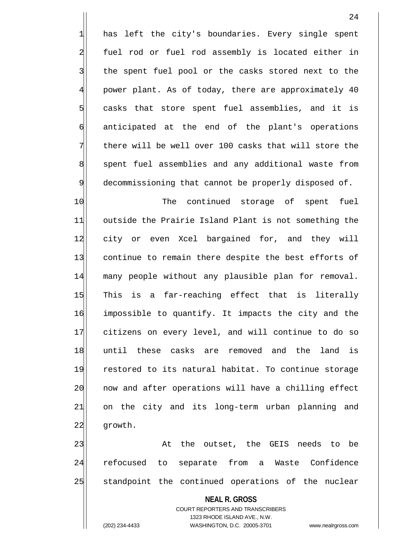1 has left the city's boundaries. Every single spent 2 fuel rod or fuel rod assembly is located either in 3 3 a the spent fuel pool or the casks stored next to the 4 power plant. As of today, there are approximately 40  $5$  casks that store spent fuel assemblies, and it is 6 6 6 6 anticipated at the end of the plant's operations 7 | there will be well over 100 casks that will store the 8 spent fuel assemblies and any additional waste from  $9$  decommissioning that cannot be properly disposed of.

10 The continued storage of spent fuel 11 outside the Prairie Island Plant is not something the 12 city or even Xcel bargained for, and they will 13 continue to remain there despite the best efforts of 14 many people without any plausible plan for removal. 15 This is a far-reaching effect that is literally 16 impossible to quantify. It impacts the city and the 17 citizens on every level, and will continue to do so 18 until these casks are removed and the land is 19 restored to its natural habitat. To continue storage 20 | now and after operations will have a chilling effect 21 on the city and its long-term urban planning and 22 growth.

23 at the outset, the GEIS needs to be 24 refocused to separate from a Waste Confidence 25 Standpoint the continued operations of the nuclear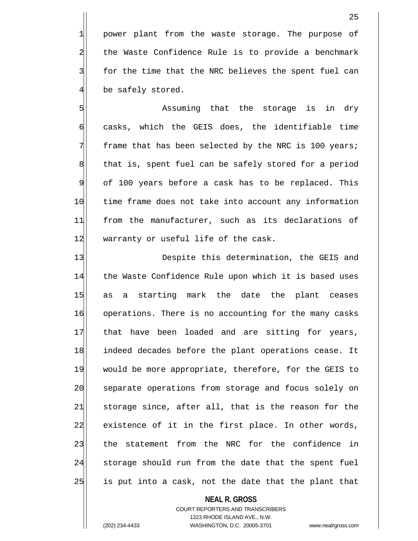1 power plant from the waste storage. The purpose of 2 the Waste Confidence Rule is to provide a benchmark  $3$  for the time that the NRC believes the spent fuel can  $4$  be safely stored.

5 5 5 5 Assuming that the storage is in dry  $6$  casks, which the GEIS does, the identifiable time  $7$  frame that has been selected by the NRC is 100 years; 8 that is, spent fuel can be safely stored for a period 9 of 100 years before a cask has to be replaced. This 10 time frame does not take into account any information 11 from the manufacturer, such as its declarations of 12 warranty or useful life of the cask.

13 Despite this determination, the GEIS and 14 the Waste Confidence Rule upon which it is based uses 15 as a starting mark the date the plant ceases 16 operations. There is no accounting for the many casks 17 | that have been loaded and are sitting for years, 18 indeed decades before the plant operations cease. It 19 would be more appropriate, therefore, for the GEIS to 20 separate operations from storage and focus solely on  $21$  storage since, after all, that is the reason for the 22 existence of it in the first place. In other words, 23 | the statement from the NRC for the confidence in 24 storage should run from the date that the spent fuel 25 is put into a cask, not the date that the plant that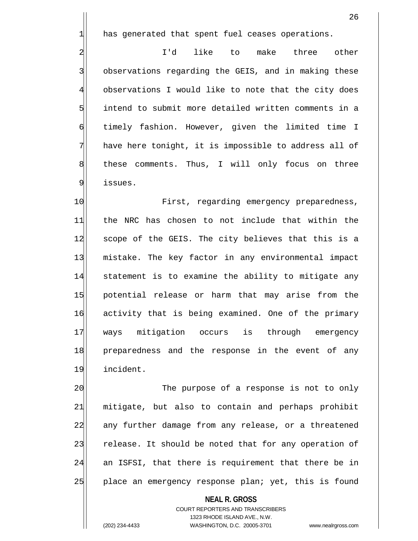$1$  has generated that spent fuel ceases operations.

2|| I'd like to make three other 3 observations regarding the GEIS, and in making these 4 observations I would like to note that the city does 5 intend to submit more detailed written comments in a 6 6 timely fashion. However, given the limited time I 7 have here tonight, it is impossible to address all of 8 8 these comments. Thus, I will only focus on three 9 issues.

10 First, regarding emergency preparedness, 11 the NRC has chosen to not include that within the 12 scope of the GEIS. The city believes that this is a 13 mistake. The key factor in any environmental impact 14 statement is to examine the ability to mitigate any 15 | potential release or harm that may arise from the 16 activity that is being examined. One of the primary 17 ways mitigation occurs is through emergency 18 preparedness and the response in the event of any 19 incident.

20 The purpose of a response is not to only 21 mitigate, but also to contain and perhaps prohibit 22 any further damage from any release, or a threatened 23 release. It should be noted that for any operation of 24 an ISFSI, that there is requirement that there be in 25 place an emergency response plan; yet, this is found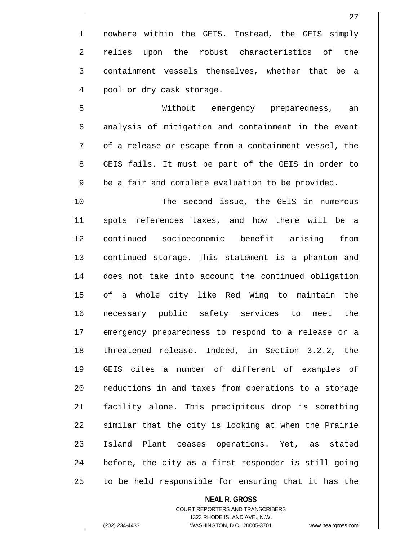27

 $4$  pool or dry cask storage.

5 | Solomon Without emergency preparedness, an  $6$  analysis of mitigation and containment in the event 7 of a release or escape from a containment vessel, the 8 GEIS fails. It must be part of the GEIS in order to  $9$  be a fair and complete evaluation to be provided.

3 containment vessels themselves, whether that be a

10 The second issue, the GEIS in numerous 11 spots references taxes, and how there will be a 12 continued socioeconomic benefit arising from 13 continued storage. This statement is a phantom and 14 does not take into account the continued obligation 15| of a whole city like Red Wing to maintain the 16 necessary public safety services to meet the 17 emergency preparedness to respond to a release or a 18 threatened release. Indeed, in Section 3.2.2, the 19 GEIS cites a number of different of examples of 20 reductions in and taxes from operations to a storage 21 facility alone. This precipitous drop is something 22 similar that the city is looking at when the Prairie 23 Island Plant ceases operations. Yet, as stated 24 before, the city as a first responder is still going 25 to be held responsible for ensuring that it has the

### **NEAL R. GROSS**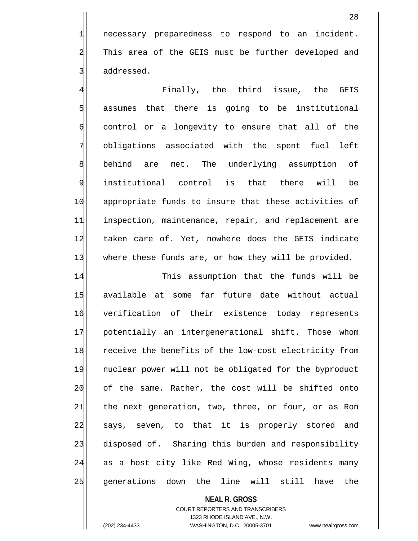1 necessary preparedness to respond to an incident. 2 This area of the GEIS must be further developed and  $3$  addressed.

4 Finally, the third issue, the GEIS  $5$  assumes that there is going to be institutional 6 6 6 control or a longevity to ensure that all of the 7 obligations associated with the spent fuel left 8 behind are met. The underlying assumption of 9 institutional control is that there will be 10 appropriate funds to insure that these activities of 11 inspection, maintenance, repair, and replacement are 12 taken care of. Yet, nowhere does the GEIS indicate 13 where these funds are, or how they will be provided.

14 This assumption that the funds will be 15 available at some far future date without actual 16 verification of their existence today represents 17 potentially an intergenerational shift. Those whom 18 receive the benefits of the low-cost electricity from 19 | nuclear power will not be obligated for the byproduct 20 of the same. Rather, the cost will be shifted onto 21 the next generation, two, three, or four, or as Ron 22 says, seven, to that it is properly stored and 23 disposed of. Sharing this burden and responsibility 24 as a host city like Red Wing, whose residents many 25 generations down the line will still have the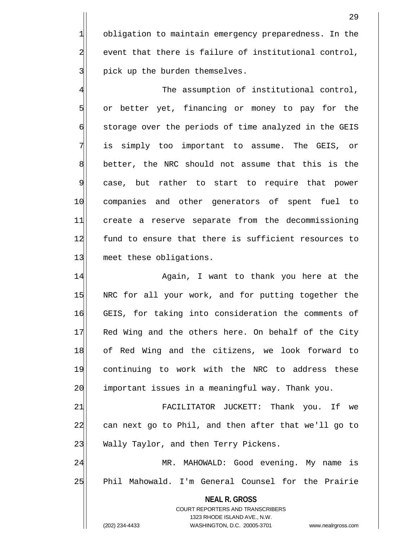1 obligation to maintain emergency preparedness. In the  $2$  event that there is failure of institutional control,  $3$  pick up the burden themselves.

 $4$  The assumption of institutional control,  $5$  or better yet, financing or money to pay for the 6 storage over the periods of time analyzed in the GEIS 7 is simply too important to assume. The GEIS, or  $8$  better, the NRC should not assume that this is the  $9$  case, but rather to start to require that power 10 companies and other generators of spent fuel to 11 create a reserve separate from the decommissioning 12 fund to ensure that there is sufficient resources to 13 meet these obligations.

14 Again, I want to thank you here at the 15 NRC for all your work, and for putting together the 16 GEIS, for taking into consideration the comments of 17 Red Wing and the others here. On behalf of the City 18 of Red Wing and the citizens, we look forward to 19 continuing to work with the NRC to address these 20 important issues in a meaningful way. Thank you.

21 FACILITATOR JUCKETT: Thank you. If we 22 can next go to Phil, and then after that we'll go to 23 Wally Taylor, and then Terry Pickens.

24 MR. MAHOWALD: Good evening. My name is 25 Phil Mahowald. I'm General Counsel for the Prairie

> **NEAL R. GROSS** COURT REPORTERS AND TRANSCRIBERS 1323 RHODE ISLAND AVE., N.W. (202) 234-4433 WASHINGTON, D.C. 20005-3701 www.nealrgross.com

29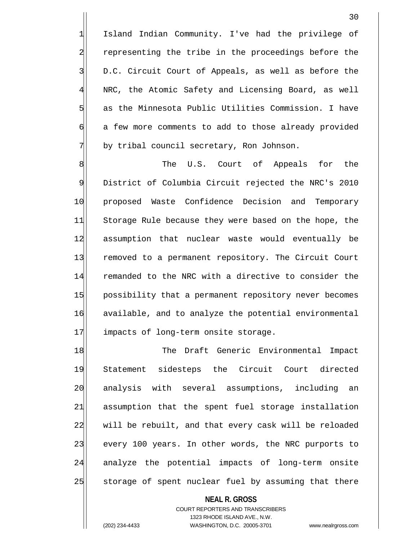1 Island Indian Community. I've had the privilege of 2 representing the tribe in the proceedings before the  $3$  D.C. Circuit Court of Appeals, as well as before the 4 NRC, the Atomic Safety and Licensing Board, as well 5 as the Minnesota Public Utilities Commission. I have 6 6 6 6 a few more comments to add to those already provided 7 by tribal council secretary, Ron Johnson.

8 8 Me U.S. Court of Appeals for the 9 District of Columbia Circuit rejected the NRC's 2010 10 proposed Waste Confidence Decision and Temporary 11 Storage Rule because they were based on the hope, the 12 assumption that nuclear waste would eventually be 13 removed to a permanent repository. The Circuit Court 14 remanded to the NRC with a directive to consider the 15 | possibility that a permanent repository never becomes 16 available, and to analyze the potential environmental 17 impacts of long-term onsite storage.

18 The Draft Generic Environmental Impact 19 Statement sidesteps the Circuit Court directed 20 analysis with several assumptions, including an 21 assumption that the spent fuel storage installation 22 will be rebuilt, and that every cask will be reloaded 23 every 100 years. In other words, the NRC purports to 24 analyze the potential impacts of long-term onsite 25 Storage of spent nuclear fuel by assuming that there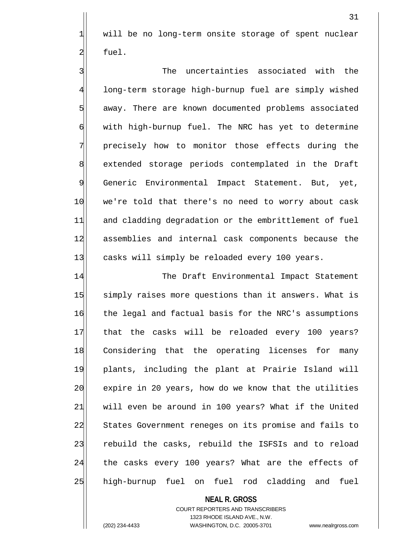1 will be no long-term onsite storage of spent nuclear  $2$ | fuel.

3 3 3 The uncertainties associated with the 4 long-term storage high-burnup fuel are simply wished 5 s away. There are known documented problems associated  $6$  with high-burnup fuel. The NRC has yet to determine 7 | precisely how to monitor those effects during the 8 extended storage periods contemplated in the Draft 9 Generic Environmental Impact Statement. But, yet, 10 we're told that there's no need to worry about cask 11 and cladding degradation or the embrittlement of fuel 12 assemblies and internal cask components because the 13 casks will simply be reloaded every 100 years.

14 The Draft Environmental Impact Statement 15 Simply raises more questions than it answers. What is 16 the legal and factual basis for the NRC's assumptions 17 that the casks will be reloaded every 100 years? 18 Considering that the operating licenses for many 19 plants, including the plant at Prairie Island will 20 expire in 20 years, how do we know that the utilities 21 will even be around in 100 years? What if the United 22 States Government reneges on its promise and fails to 23 rebuild the casks, rebuild the ISFSIs and to reload 24 the casks every 100 years? What are the effects of 25 high-burnup fuel on fuel rod cladding and fuel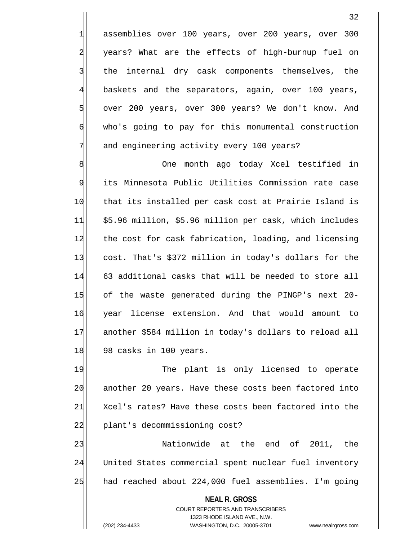1 assemblies over 100 years, over 200 years, over 300 2 years? What are the effects of high-burnup fuel on 3 | the internal dry cask components themselves, the  $4$  baskets and the separators, again, over 100 years, 5 over 200 years, over 300 years? We don't know. And 6 who's going to pay for this monumental construction 7 and engineering activity every 100 years?

8 8 8 One month ago today Xcel testified in 9 its Minnesota Public Utilities Commission rate case 10 that its installed per cask cost at Prairie Island is 11 \$5.96 million, \$5.96 million per cask, which includes 12 the cost for cask fabrication, loading, and licensing 13 cost. That's \$372 million in today's dollars for the 14 63 additional casks that will be needed to store all 15 of the waste generated during the PINGP's next 20-16 year license extension. And that would amount to 17 another \$584 million in today's dollars to reload all 18 98 casks in 100 years.

19 The plant is only licensed to operate 20 another 20 years. Have these costs been factored into 21 Xcel's rates? Have these costs been factored into the 22 plant's decommissioning cost?

23 and 2011, the Shationwide at the end of 2011, the 24 United States commercial spent nuclear fuel inventory 25 had reached about 224,000 fuel assemblies. I'm going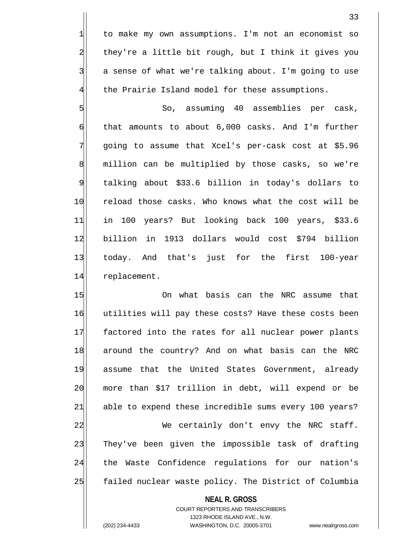1 to make my own assumptions. I'm not an economist so they're a little bit rough, but I think it gives you a sense of what we're talking about. I'm going to use the Prairie Island model for these assumptions.

5 | So, assuming 40 assemblies per cask,  $6$  that amounts to about  $6,000$  casks. And I'm further 7 going to assume that Xcel's per-cask cost at \$5.96 8 million can be multiplied by those casks, so we're  $9$  talking about \$33.6 billion in today's dollars to 10 reload those casks. Who knows what the cost will be 11 in 100 years? But looking back 100 years, \$33.6 12 billion in 1913 dollars would cost \$794 billion 13 today. And that's just for the first 100-year 14 replacement.

**NEAL R. GROSS** 15 On what basis can the NRC assume that 16 utilities will pay these costs? Have these costs been 17 factored into the rates for all nuclear power plants 18 around the country? And on what basis can the NRC 19 assume that the United States Government, already 20 more than \$17 trillion in debt, will expend or be 21 able to expend these incredible sums every 100 years? 22 We certainly don't envy the NRC staff. 23 They've been given the impossible task of drafting 24 the Waste Confidence requlations for our nation's 25 failed nuclear waste policy. The District of Columbia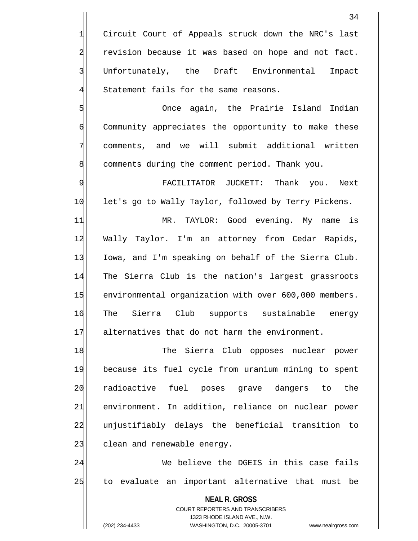1 Circuit Court of Appeals struck down the NRC's last 2 revision because it was based on hope and not fact. 3 Unfortunately, the Draft Environmental Impact 4 Statement fails for the same reasons.

5 Once again, the Prairie Island Indian 6 Community appreciates the opportunity to make these 7 comments, and we will submit additional written 8 comments during the comment period. Thank you.

9 | SHEMBERGILITATOR JUCKETT: Thank you. Next 10 let's go to Wally Taylor, followed by Terry Pickens.

11 MR. TAYLOR: Good evening. My name is 12 Wally Taylor. I'm an attorney from Cedar Rapids, 13 Iowa, and I'm speaking on behalf of the Sierra Club. 14 The Sierra Club is the nation's largest grassroots 15 environmental organization with over 600,000 members. 16 The Sierra Club supports sustainable energy 17 alternatives that do not harm the environment.

18 The Sierra Club opposes nuclear power 19 because its fuel cycle from uranium mining to spent 20 radioactive fuel poses grave dangers to the 21 environment. In addition, reliance on nuclear power 22 unjustifiably delays the beneficial transition to 23 clean and renewable energy.

24 We believe the DGEIS in this case fails 25 to evaluate an important alternative that must be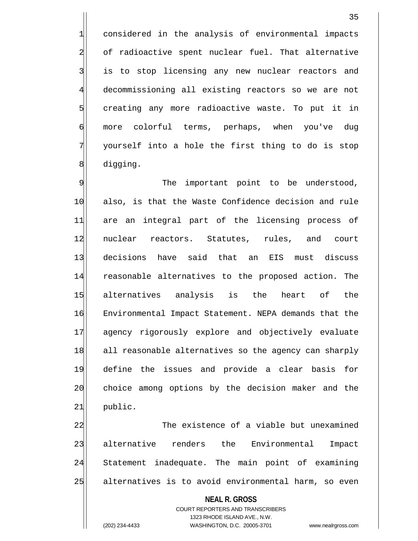1 considered in the analysis of environmental impacts 2 of radioactive spent nuclear fuel. That alternative  $3$  is to stop licensing any new nuclear reactors and 4 decommissioning all existing reactors so we are not 5 Soll creating any more radioactive waste. To put it in 6 more colorful terms, perhaps, when you've dug  $7$  yourself into a hole the first thing to do is stop 8 digging.

9 9 The important point to be understood, 10 also, is that the Waste Confidence decision and rule 11 are an integral part of the licensing process of 12 nuclear reactors. Statutes, rules, and court 13|| decisions have said that an EIS must discuss 14 reasonable alternatives to the proposed action. The 15 alternatives analysis is the heart of the 16 Environmental Impact Statement. NEPA demands that the 17 agency rigorously explore and objectively evaluate 18 all reasonable alternatives so the agency can sharply 19| define the issues and provide a clear basis for 20 choice among options by the decision maker and the 21 public.

22 The existence of a viable but unexamined 23 alternative renders the Environmental Impact 24 Statement inadequate. The main point of examining 25 alternatives is to avoid environmental harm, so even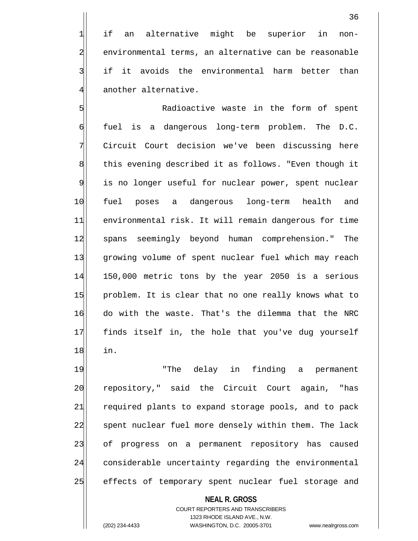1 if an alternative might be superior in non-2 environmental terms, an alternative can be reasonable  $3$  if it avoids the environmental harm better than 4 another alternative.

5 S  $6$  fuel is a dangerous long-term problem. The D.C. 7 Circuit Court decision we've been discussing here 8 this evening described it as follows. "Even though it 9 is no longer useful for nuclear power, spent nuclear 10 fuel poses a dangerous long-term health and 11 environmental risk. It will remain dangerous for time 12 spans seemingly beyond human comprehension." The 13 growing volume of spent nuclear fuel which may reach 14 150,000 metric tons by the year 2050 is a serious 15 problem. It is clear that no one really knows what to 16 do with the waste. That's the dilemma that the NRC 17 | finds itself in, the hole that you've dug yourself 18 in.

19|| "The delay in finding a permanent 20 repository," said the Circuit Court again, "has 21 required plants to expand storage pools, and to pack 22 spent nuclear fuel more densely within them. The lack 23 of progress on a permanent repository has caused 24 considerable uncertainty regarding the environmental 25 effects of temporary spent nuclear fuel storage and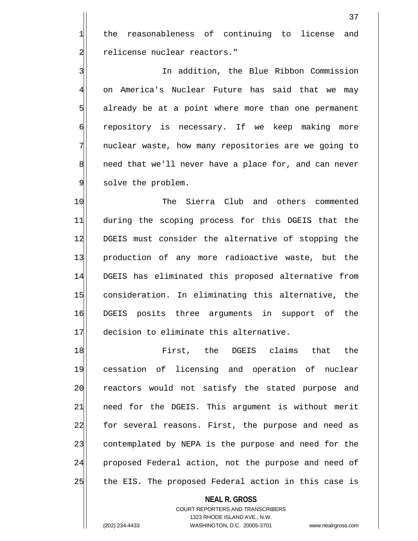1 the reasonableness of continuing to license and 2 relicense nuclear reactors."

3 3 In addition, the Blue Ribbon Commission 4 on America's Nuclear Future has said that we may 5 already be at a point where more than one permanent 6 6 repository is necessary. If we keep making more 7 | nuclear waste, how many repositories are we going to 8 need that we'll never have a place for, and can never 9 solve the problem.

10 The Sierra Club and others commented 11 during the scoping process for this DGEIS that the 12 DGEIS must consider the alternative of stopping the 13 production of any more radioactive waste, but the 14 DGEIS has eliminated this proposed alternative from 15 consideration. In eliminating this alternative, the 16 DGEIS posits three arguments in support of the 17 decision to eliminate this alternative.

18 First, the DGEIS claims that the 19 cessation of licensing and operation of nuclear 20 reactors would not satisfy the stated purpose and 21 | need for the DGEIS. This argument is without merit 22 for several reasons. First, the purpose and need as 23 contemplated by NEPA is the purpose and need for the 24 proposed Federal action, not the purpose and need of 25 the EIS. The proposed Federal action in this case is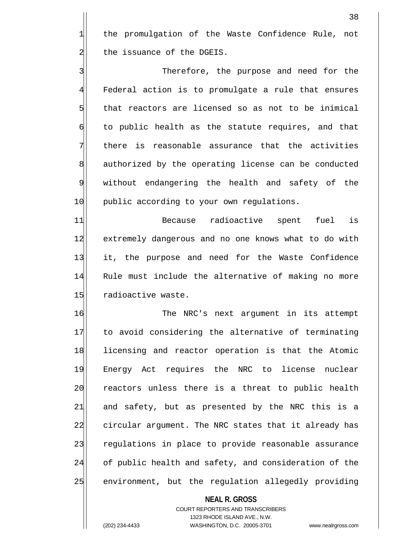1 the promulgation of the Waste Confidence Rule, not 2 the issuance of the DGEIS.

3 3 Therefore, the purpose and need for the  $4$  Federal action is to promulgate a rule that ensures  $5$  that reactors are licensed so as not to be inimical  $6$  to public health as the statute requires, and that  $7$  there is reasonable assurance that the activities 8 authorized by the operating license can be conducted 9 without endangering the health and safety of the 10 public according to your own regulations.

11 Because radioactive spent fuel is 12 extremely dangerous and no one knows what to do with 13 it, the purpose and need for the Waste Confidence 14 Rule must include the alternative of making no more 15 radioactive waste.

16 The NRC's next argument in its attempt 17 to avoid considering the alternative of terminating 18 licensing and reactor operation is that the Atomic 19 Energy Act requires the NRC to license nuclear 20 reactors unless there is a threat to public health  $21$  and safety, but as presented by the NRC this is a 22 circular argument. The NRC states that it already has 23 regulations in place to provide reasonable assurance 24 of public health and safety, and consideration of the 25 environment, but the regulation allegedly providing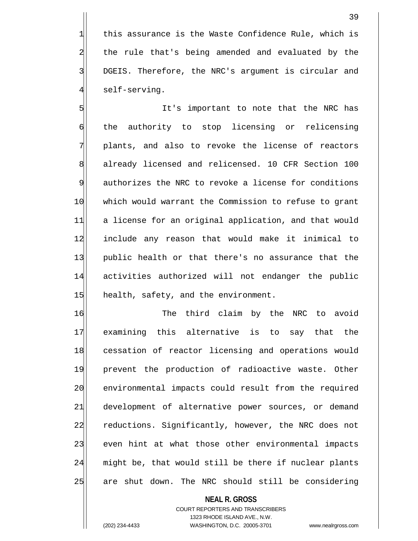$1$  this assurance is the Waste Confidence Rule, which is 2 the rule that's being amended and evaluated by the 3 DGEIS. Therefore, the NRC's argument is circular and  $4$  self-serving.

5 SI It's important to note that the NRC has  $6$  the authority to stop licensing or relicensing 7 plants, and also to revoke the license of reactors 8 already licensed and relicensed. 10 CFR Section 100  $9$  authorizes the NRC to revoke a license for conditions 10 which would warrant the Commission to refuse to grant 11 a license for an original application, and that would 12 include any reason that would make it inimical to 13 public health or that there's no assurance that the 14 activities authorized will not endanger the public 15 health, safety, and the environment.

16 The third claim by the NRC to avoid 17 examining this alternative is to say that the 18 cessation of reactor licensing and operations would 19 prevent the production of radioactive waste. Other 20 environmental impacts could result from the required 21 development of alternative power sources, or demand 22 reductions. Significantly, however, the NRC does not 23 even hint at what those other environmental impacts 24 might be, that would still be there if nuclear plants 25 are shut down. The NRC should still be considering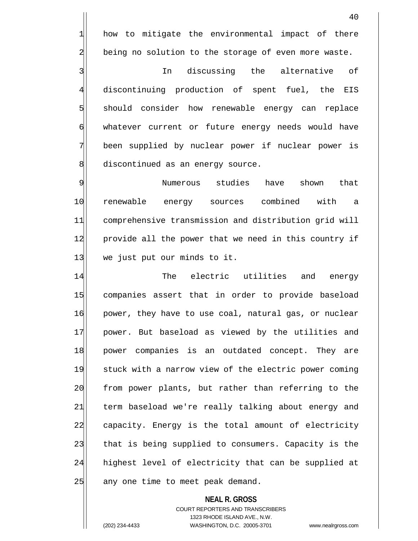1 how to mitigate the environmental impact of there 2 being no solution to the storage of even more waste.

3 3 In discussing the alternative of 4 discontinuing production of spent fuel, the EIS 5 should consider how renewable energy can replace 6 whatever current or future energy needs would have 7 been supplied by nuclear power if nuclear power is 8 discontinued as an energy source.

9 Solution Summerous studies have shown that 10 renewable energy sources combined with a 11 comprehensive transmission and distribution grid will 12 provide all the power that we need in this country if 13 we just put our minds to it.

14 The electric utilities and energy 15 companies assert that in order to provide baseload 16 power, they have to use coal, natural gas, or nuclear 17 | power. But baseload as viewed by the utilities and 18 power companies is an outdated concept. They are 19 stuck with a narrow view of the electric power coming 20 from power plants, but rather than referring to the 21 term baseload we're really talking about energy and 22 capacity. Energy is the total amount of electricity 23 that is being supplied to consumers. Capacity is the 24 highest level of electricity that can be supplied at  $25$  any one time to meet peak demand.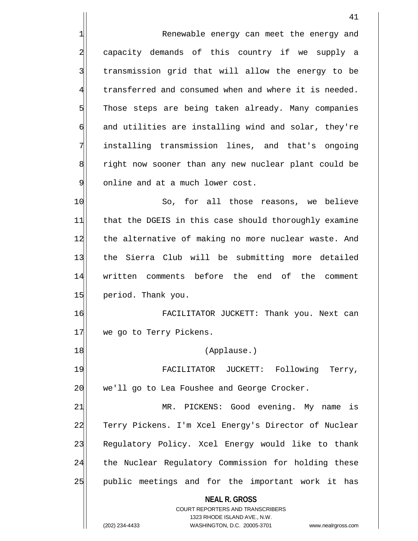1 Renewable energy can meet the energy and 2 capacity demands of this country if we supply a 3 3 | transmission grid that will allow the energy to be  $4\vert$  transferred and consumed when and where it is needed. 5 Those steps are being taken already. Many companies  $6$  and utilities are installing wind and solar, they're 7 | installing transmission lines, and that's ongoing 8 right now sooner than any new nuclear plant could be 9 online and at a much lower cost. 10 So, for all those reasons, we believe

11 that the DGEIS in this case should thoroughly examine 12 the alternative of making no more nuclear waste. And 13 the Sierra Club will be submitting more detailed 14 written comments before the end of the comment 15 period. Thank you.

16 FACILITATOR JUCKETT: Thank you. Next can 17 we go to Terry Pickens.

18 (Applause.)

19 FACILITATOR JUCKETT: Following Terry, 20 we'll go to Lea Foushee and George Crocker.

21 MR. PICKENS: Good evening. My name is 22 Terry Pickens. I'm Xcel Energy's Director of Nuclear 23 Regulatory Policy. Xcel Energy would like to thank 24 the Nuclear Regulatory Commission for holding these 25 public meetings and for the important work it has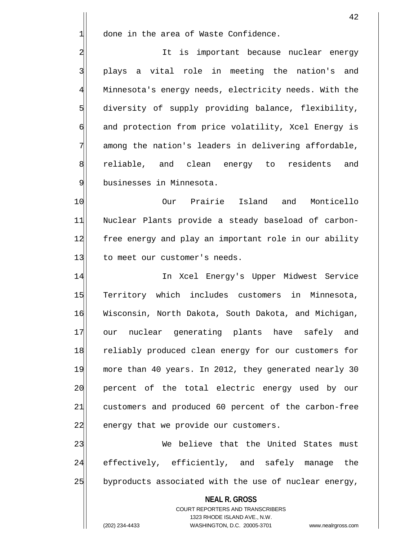$1$  done in the area of Waste Confidence.

2 2 It is important because nuclear energy  $3$  plays a vital role in meeting the nation's and  $4$  Minnesota's energy needs, electricity needs. With the  $5$  diversity of supply providing balance, flexibility, 6 6 6 6 and protection from price volatility, Xcel Energy is 7 among the nation's leaders in delivering affordable, 8 reliable, and clean energy to residents and 9 businesses in Minnesota.

10 **Our Prairie Island and Monticello** 11 Nuclear Plants provide a steady baseload of carbon-12 free energy and play an important role in our ability 13 to meet our customer's needs.

14 In Xcel Energy's Upper Midwest Service 15 Territory which includes customers in Minnesota, 16 Wisconsin, North Dakota, South Dakota, and Michigan, 17 our nuclear generating plants have safely and 18 reliably produced clean energy for our customers for 19 more than 40 years. In 2012, they generated nearly 30 20 percent of the total electric energy used by our 21 customers and produced 60 percent of the carbon-free  $22$  energy that we provide our customers.

23 We believe that the United States must 24 effectively, efficiently, and safely manage the 25 byproducts associated with the use of nuclear energy,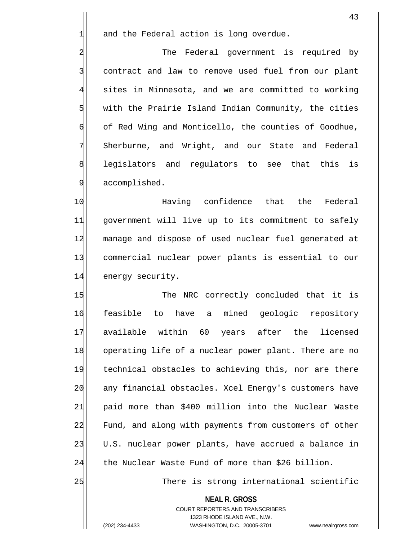$1$  and the Federal action is long overdue.

2 2 The Federal government is required by 3 contract and law to remove used fuel from our plant 4 sites in Minnesota, and we are committed to working 5 | with the Prairie Island Indian Community, the cities  $6$  of Red Wing and Monticello, the counties of Goodhue, 7 Sherburne, and Wright, and our State and Federal 8 8 legislators and regulators to see that this is  $9$  accomplished.

10 Having confidence that the Federal 11 government will live up to its commitment to safely 12 manage and dispose of used nuclear fuel generated at 13 commercial nuclear power plants is essential to our 14 energy security.

15 The NRC correctly concluded that it is 16 feasible to have a mined geologic repository 17 available within 60 years after the licensed 18 operating life of a nuclear power plant. There are no 19 technical obstacles to achieving this, nor are there 20 any financial obstacles. Xcel Energy's customers have 21 paid more than \$400 million into the Nuclear Waste 22 Fund, and along with payments from customers of other 23 U.S. nuclear power plants, have accrued a balance in 24 the Nuclear Waste Fund of more than \$26 billion.

25 and 25 There is strong international scientific

**NEAL R. GROSS** COURT REPORTERS AND TRANSCRIBERS 1323 RHODE ISLAND AVE., N.W. (202) 234-4433 WASHINGTON, D.C. 20005-3701 www.nealrgross.com

43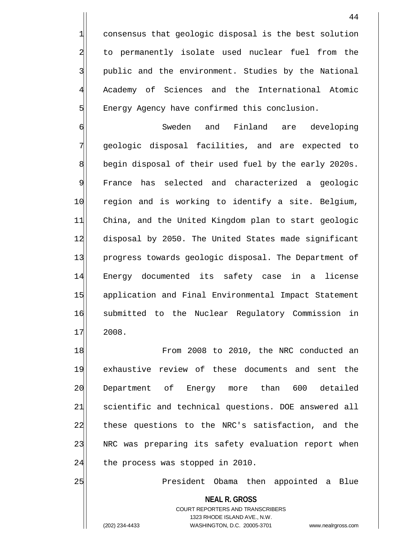$1$  consensus that geologic disposal is the best solution 2 to permanently isolate used nuclear fuel from the 3 | public and the environment. Studies by the National 4 Academy of Sciences and the International Atomic 5 | Energy Agency have confirmed this conclusion.

6 6 Sweden and Finland are developing 7 geologic disposal facilities, and are expected to 8 begin disposal of their used fuel by the early 2020s. 9 France has selected and characterized a geologic 10 region and is working to identify a site. Belgium, 11 China, and the United Kingdom plan to start geologic 12 disposal by 2050. The United States made significant 13 progress towards geologic disposal. The Department of 14 Energy documented its safety case in a license 15 application and Final Environmental Impact Statement 16 Submitted to the Nuclear Regulatory Commission in 17 2008.

18 From 2008 to 2010, the NRC conducted an 19 exhaustive review of these documents and sent the 20 Department of Energy more than 600 detailed 21 Scientific and technical questions. DOE answered all 22 these questions to the NRC's satisfaction, and the 23 NRC was preparing its safety evaluation report when  $24$  the process was stopped in 2010.

25 President Obama then appointed a Blue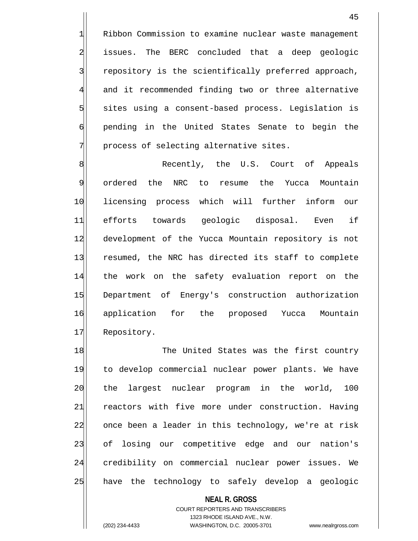1 Ribbon Commission to examine nuclear waste management 2 issues. The BERC concluded that a deep geologic 3 3 repository is the scientifically preferred approach, 4 and it recommended finding two or three alternative 5 sites using a consent-based process. Legislation is 6 6 pending in the United States Senate to begin the  $7$  process of selecting alternative sites.

8 8 Recently, the U.S. Court of Appeals 9 ordered the NRC to resume the Yucca Mountain 10 licensing process which will further inform our 11 efforts towards geologic disposal. Even if 12 development of the Yucca Mountain repository is not 13 resumed, the NRC has directed its staff to complete 14 the work on the safety evaluation report on the 15 Department of Energy's construction authorization 16 application for the proposed Yucca Mountain 17 Repository.

18 The United States was the first country 19 to develop commercial nuclear power plants. We have 20 a the largest nuclear program in the world, 100 21 reactors with five more under construction. Having 22 once been a leader in this technology, we're at risk 23 of losing our competitive edge and our nation's 24 credibility on commercial nuclear power issues. We 25 have the technology to safely develop a geologic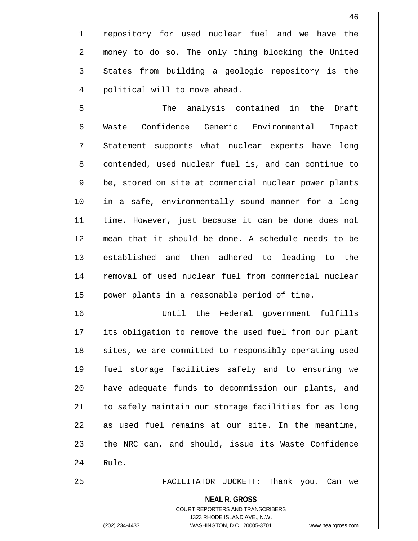1 repository for used nuclear fuel and we have the 2 money to do so. The only thing blocking the United 3 States from building a geologic repository is the 4 political will to move ahead.

5 SM 5 The analysis contained in the Draft 6 Waste Confidence Generic Environmental Impact 7 Statement supports what nuclear experts have long 8 contended, used nuclear fuel is, and can continue to 9 be, stored on site at commercial nuclear power plants 10 in a safe, environmentally sound manner for a long 11 | time. However, just because it can be done does not 12 mean that it should be done. A schedule needs to be 13 established and then adhered to leading to the 14 removal of used nuclear fuel from commercial nuclear 15 power plants in a reasonable period of time.

16 Until the Federal government fulfills 17 its obligation to remove the used fuel from our plant 18 sites, we are committed to responsibly operating used 19 fuel storage facilities safely and to ensuring we 20 have adequate funds to decommission our plants, and 21 to safely maintain our storage facilities for as long 22 as used fuel remains at our site. In the meantime, 23 the NRC can, and should, issue its Waste Confidence 24 Rule.

25 FACILITATOR JUCKETT: Thank you. Can we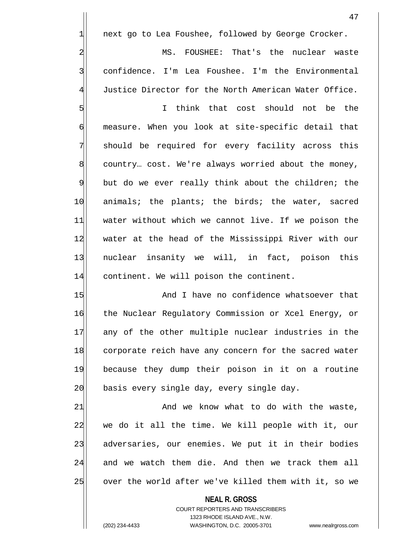$1$  next go to Lea Foushee, followed by George Crocker.

2 MS. FOUSHEE: That's the nuclear waste 3 confidence. I'm Lea Foushee. I'm the Environmental 4 Justice Director for the North American Water Office.

5 I think that cost should not be the 6 measure. When you look at site-specific detail that 7 | should be required for every facility across this 8 country… cost. We're always worried about the money,  $9$  but do we ever really think about the children; the 10 animals; the plants; the birds; the water, sacred 11 water without which we cannot live. If we poison the 12 water at the head of the Mississippi River with our 13 nuclear insanity we will, in fact, poison this 14 continent. We will poison the continent.

15 And I have no confidence whatsoever that 16 the Nuclear Regulatory Commission or Xcel Energy, or 17 any of the other multiple nuclear industries in the 18 corporate reich have any concern for the sacred water 19 because they dump their poison in it on a routine 20 basis every single day, every single day.

21 and we know what to do with the waste, 22 we do it all the time. We kill people with it, our 23 adversaries, our enemies. We put it in their bodies 24 and we watch them die. And then we track them all 25 over the world after we've killed them with it, so we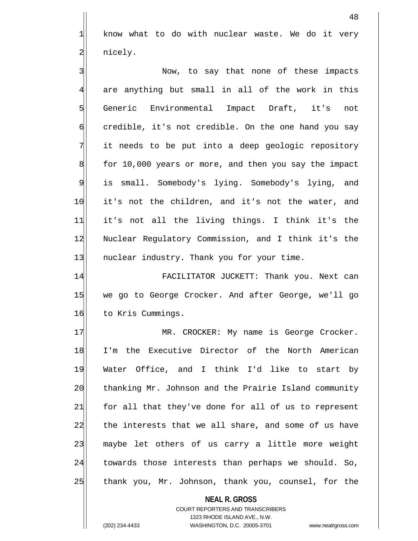$1$  know what to do with nuclear waste. We do it very 2 nicely.

3 | Now, to say that none of these impacts 4 are anything but small in all of the work in this 5 Generic Environmental Impact Draft, it's not  $6$  credible, it's not credible. On the one hand you say 7 it needs to be put into a deep geologic repository 8 for 10,000 years or more, and then you say the impact 9 is small. Somebody's lying. Somebody's lying, and 10 it's not the children, and it's not the water, and 11 it's not all the living things. I think it's the 12 Nuclear Regulatory Commission, and I think it's the 13 | nuclear industry. Thank you for your time.

14 FACILITATOR JUCKETT: Thank you. Next can 15 we go to George Crocker. And after George, we'll go 16 to Kris Cummings.

17 MR. CROCKER: My name is George Crocker. 18 I'm the Executive Director of the North American 19 Water Office, and I think I'd like to start by 20 thanking Mr. Johnson and the Prairie Island community 21 for all that they've done for all of us to represent  $22$  the interests that we all share, and some of us have 23 maybe let others of us carry a little more weight 24 towards those interests than perhaps we should. So, 25 thank you, Mr. Johnson, thank you, counsel, for the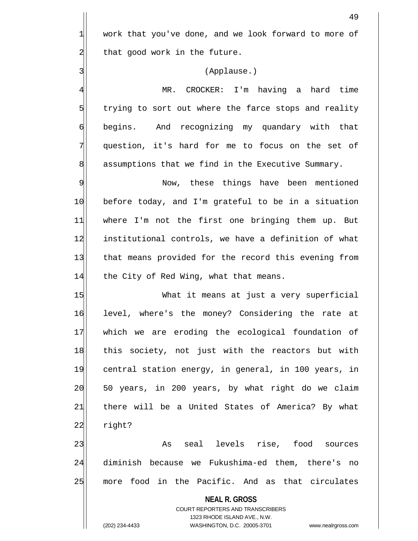1 work that you've done, and we look forward to more of  $2$  that good work in the future.

### 3<sup>|</sup> (Applause.)

4 MR. CROCKER: I'm having a hard time  $5$  trying to sort out where the farce stops and reality 6 begins. And recognizing my quandary with that 7 question, it's hard for me to focus on the set of 8 assumptions that we find in the Executive Summary.

9 Mow, these things have been mentioned 10 before today, and I'm grateful to be in a situation 11 where I'm not the first one bringing them up. But 12 institutional controls, we have a definition of what 13 that means provided for the record this evening from  $14$  the City of Red Wing, what that means.

15 What it means at just a very superficial 16 level, where's the money? Considering the rate at 17 which we are eroding the ecological foundation of 18 this society, not just with the reactors but with 19 central station energy, in general, in 100 years, in 20 50 years, in 200 years, by what right do we claim  $21$  there will be a United States of America? By what 22 right?

23 As seal levels rise, food sources 24 diminish because we Fukushima-ed them, there's no 25 | more food in the Pacific. And as that circulates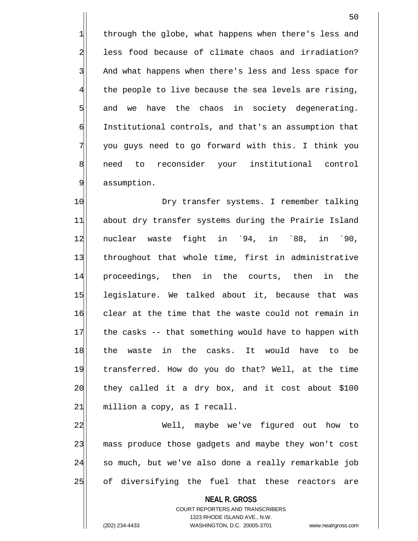1 through the globe, what happens when there's less and  $2$  less food because of climate chaos and irradiation? 3 And what happens when there's less and less space for  $4$  the people to live because the sea levels are rising,  $5$  and we have the chaos in society degenerating. 6 Institutional controls, and that's an assumption that 7 you guys need to go forward with this. I think you 8 8 8 need to reconsider your institutional control 9 assumption.

10 Dry transfer systems. I remember talking 11 about dry transfer systems during the Prairie Island  $12$  nuclear waste fight in `94, in `88, in `90, 13 throughout that whole time, first in administrative 14 proceedings, then in the courts, then in the 15 legislature. We talked about it, because that was 16 clear at the time that the waste could not remain in  $17$  the casks -- that something would have to happen with 18 the waste in the casks. It would have to be 19 transferred. How do you do that? Well, at the time  $20$  they called it a dry box, and it cost about \$100  $21$  million a copy, as I recall.

22| Well, maybe we've figured out how to 23 mass produce those gadgets and maybe they won't cost 24 so much, but we've also done a really remarkable job 25 of diversifying the fuel that these reactors are

> **NEAL R. GROSS** COURT REPORTERS AND TRANSCRIBERS 1323 RHODE ISLAND AVE., N.W. (202) 234-4433 WASHINGTON, D.C. 20005-3701 www.nealrgross.com

50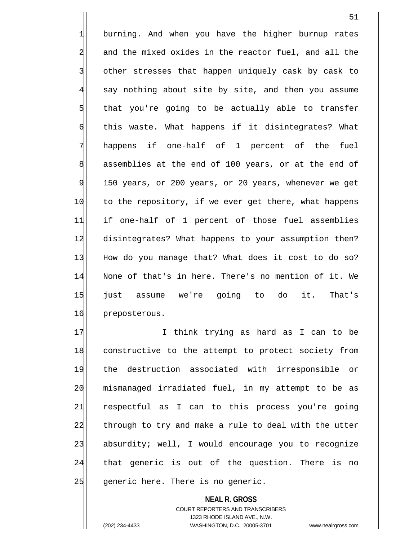1 burning. And when you have the higher burnup rates 2 and the mixed oxides in the reactor fuel, and all the 3 3 other stresses that happen uniquely cask by cask to  $4$  say nothing about site by site, and then you assume  $5$  that you're going to be actually able to transfer  $6$  this waste. What happens if it disintegrates? What 7 happens if one-half of 1 percent of the fuel 8 assemblies at the end of 100 years, or at the end of  $9$  150 years, or 200 years, or 20 years, whenever we get 10 to the repository, if we ever get there, what happens 11 | if one-half of 1 percent of those fuel assemblies 12 disintegrates? What happens to your assumption then? 13 How do you manage that? What does it cost to do so? 14 None of that's in here. There's no mention of it. We 15 just assume we're going to do it. That's 16 preposterous.

17 I I think trying as hard as I can to be 18 constructive to the attempt to protect society from 19 the destruction associated with irresponsible or 20 mismanaged irradiated fuel, in my attempt to be as 21 respectful as I can to this process you're going 22 through to try and make a rule to deal with the utter 23 absurdity; well, I would encourage you to recognize  $24$  that generic is out of the question. There is no 25 generic here. There is no generic.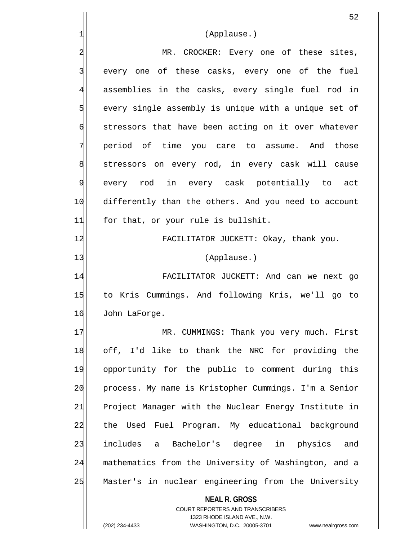|                | 52                                                                                                  |
|----------------|-----------------------------------------------------------------------------------------------------|
| 1              | (Applause.)                                                                                         |
| $\overline{2}$ | MR. CROCKER: Every one of these sites,                                                              |
| 3              | every one of these casks, every one of the fuel                                                     |
| $\overline{4}$ | assemblies in the casks, every single fuel rod in                                                   |
| 5              | every single assembly is unique with a unique set of                                                |
| 6              | stressors that have been acting on it over whatever                                                 |
| 7              | period of time you care to assume. And<br>those                                                     |
| 8              | stressors on every rod, in every cask will cause                                                    |
| 9              | every rod in every cask potentially to act                                                          |
| 10             | differently than the others. And you need to account                                                |
| 11             | for that, or your rule is bullshit.                                                                 |
| 12             | FACILITATOR JUCKETT: Okay, thank you.                                                               |
| 13             | (Applause.)                                                                                         |
| 14             | FACILITATOR JUCKETT: And can we next go                                                             |
| 15             | to Kris Cummings. And following Kris, we'll go to                                                   |
| 16             | John LaForge.                                                                                       |
| 17             | MR. CUMMINGS: Thank you very much. First                                                            |
| 18             | off, I'd like to thank the NRC for providing the                                                    |
| 19             | opportunity for the public to comment during this                                                   |
| 20             | process. My name is Kristopher Cummings. I'm a Senior                                               |
| 21             | Project Manager with the Nuclear Energy Institute in                                                |
| 22             | the Used Fuel Program. My educational background                                                    |
| 23             | includes a Bachelor's degree in physics<br>and                                                      |
| 24             | mathematics from the University of Washington, and a                                                |
| 25             | Master's in nuclear engineering from the University                                                 |
|                | <b>NEAL R. GROSS</b>                                                                                |
|                | COURT REPORTERS AND TRANSCRIBERS                                                                    |
|                | 1323 RHODE ISLAND AVE., N.W.<br>(202) 234-4433<br>WASHINGTON, D.C. 20005-3701<br>www.nealrgross.com |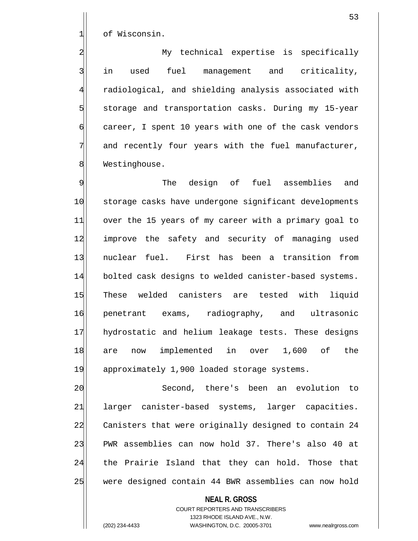1 of Wisconsin.

2 My technical expertise is specifically 3 in used fuel management and criticality, 4 radiological, and shielding analysis associated with 5 storage and transportation casks. During my 15-year  $6$  career, I spent 10 years with one of the cask vendors 7 and recently four years with the fuel manufacturer, 8 | Westinghouse.

9 Solution of the design of fuel assemblies and 10 storage casks have undergone significant developments 11 over the 15 years of my career with a primary goal to 12 improve the safety and security of managing used 13 nuclear fuel. First has been a transition from 14 bolted cask designs to welded canister-based systems. 15 These welded canisters are tested with liquid 16 penetrant exams, radiography, and ultrasonic 17 hydrostatic and helium leakage tests. These designs 18 are now implemented in over 1,600 of the 19 approximately 1,900 loaded storage systems.

20 Second, there's been an evolution to 21 larger canister-based systems, larger capacities. 22 Canisters that were originally designed to contain 24 23 PWR assemblies can now hold 37. There's also 40 at 24 the Prairie Island that they can hold. Those that 25 were designed contain 44 BWR assemblies can now hold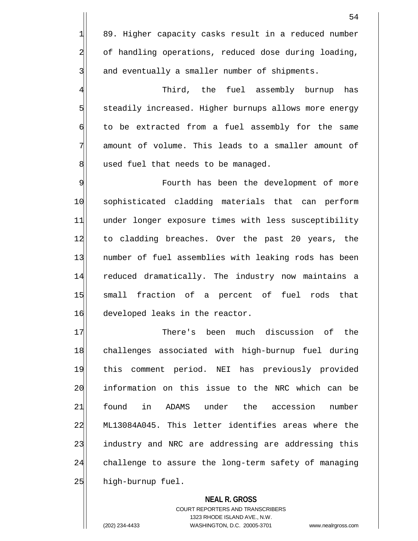$1$  89. Higher capacity casks result in a reduced number 2 of handling operations, reduced dose during loading,  $3$  and eventually a smaller number of shipments.

4 Third, the fuel assembly burnup has 5 steadily increased. Higher burnups allows more energy  $6$  to be extracted from a fuel assembly for the same 7 amount of volume. This leads to a smaller amount of 8 used fuel that needs to be managed.

9 | Shephen Tourth has been the development of more 10 sophisticated cladding materials that can perform 11 under longer exposure times with less susceptibility 12 to cladding breaches. Over the past 20 years, the 13 | number of fuel assemblies with leaking rods has been 14 reduced dramatically. The industry now maintains a 15 small fraction of a percent of fuel rods that 16 developed leaks in the reactor.

17 There's been much discussion of the 18 challenges associated with high-burnup fuel during 19 this comment period. NEI has previously provided 20 information on this issue to the NRC which can be 21|| found in ADAMS under the accession number 22 ML13084A045. This letter identifies areas where the 23 industry and NRC are addressing are addressing this 24 challenge to assure the long-term safety of managing 25 high-burnup fuel.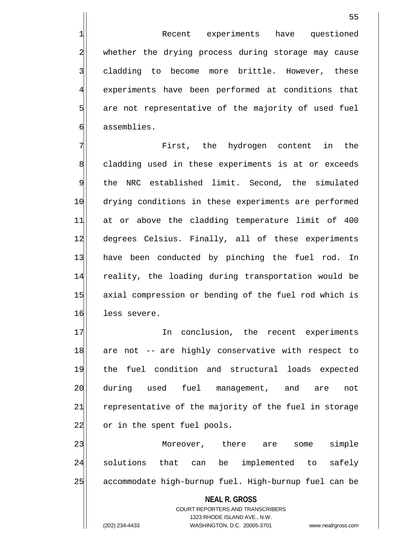55

 $2$  whether the drying process during storage may cause  $3$  cladding to become more brittle. However, these 4 experiments have been performed at conditions that  $5$  are not representative of the majority of used fuel 6 assemblies.

7 The hydrogen content in the hydrogen content in the 8 8 cladding used in these experiments is at or exceeds 9 the NRC established limit. Second, the simulated 10 drying conditions in these experiments are performed 11 at or above the cladding temperature limit of 400 12 degrees Celsius. Finally, all of these experiments 13 have been conducted by pinching the fuel rod. In 14 reality, the loading during transportation would be 15 axial compression or bending of the fuel rod which is 16 less severe.

17 In conclusion, the recent experiments 18 are not -- are highly conservative with respect to 19 the fuel condition and structural loads expected 20 during used fuel management, and are not 21 representative of the majority of the fuel in storage 22 or in the spent fuel pools.

23 Moreover, there are some simple 24 solutions that can be implemented to safely 25 accommodate high-burnup fuel. High-burnup fuel can be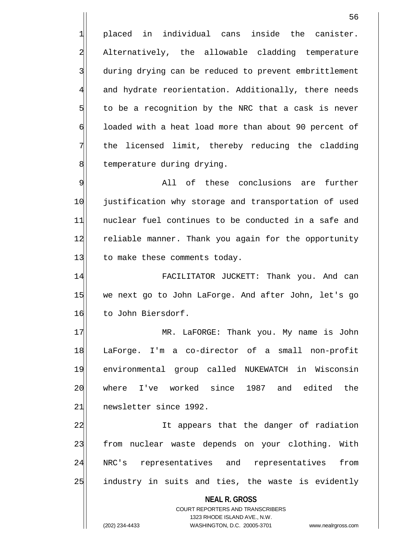$1$  placed in individual cans inside the canister. 2 Alternatively, the allowable cladding temperature 3 during drying can be reduced to prevent embrittlement 4 and hydrate reorientation. Additionally, there needs  $5$  to be a recognition by the NRC that a cask is never 6 6 10 10 aded with a heat load more than about 90 percent of 7 The licensed limit, thereby reducing the cladding 8 | temperature during drying.

9 Metamber 2011 of these conclusions are further 10 **justification why storage and transportation of used** 11 | nuclear fuel continues to be conducted in a safe and 12 reliable manner. Thank you again for the opportunity 13 to make these comments today.

14 FACILITATOR JUCKETT: Thank you. And can 15 we next go to John LaForge. And after John, let's go 16 to John Biersdorf.

17 MR. LaFORGE: Thank you. My name is John 18 LaForge. I'm a co-director of a small non-profit 19 environmental group called NUKEWATCH in Wisconsin 20 where I've worked since 1987 and edited the 21 newsletter since 1992.

22 | It appears that the danger of radiation 23 from nuclear waste depends on your clothing. With 24 NRC's representatives and representatives from 25 and industry in suits and ties, the waste is evidently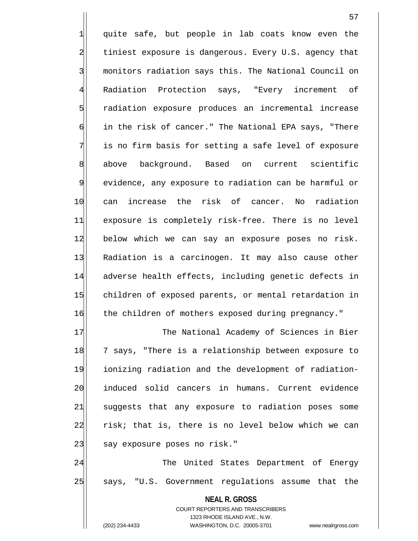1 quite safe, but people in lab coats know even the 2 tiniest exposure is dangerous. Every U.S. agency that 3 monitors radiation says this. The National Council on 4 Radiation Protection says, "Every increment of 5 5 5 5 radiation exposure produces an incremental increase 6 6 in the risk of cancer." The National EPA says, "There 7 is no firm basis for setting a safe level of exposure 8 above background. Based on current scientific 9 evidence, any exposure to radiation can be harmful or 10 can increase the risk of cancer. No radiation 11 exposure is completely risk-free. There is no level 12 below which we can say an exposure poses no risk. 13 Radiation is a carcinogen. It may also cause other 14 adverse health effects, including genetic defects in 15 children of exposed parents, or mental retardation in 16 the children of mothers exposed during pregnancy." 17 The National Academy of Sciences in Bier 18 7 says, "There is a relationship between exposure to 19 ionizing radiation and the development of radiation-

20 induced solid cancers in humans. Current evidence 21 suggests that any exposure to radiation poses some 22 risk; that is, there is no level below which we can 23 say exposure poses no risk."

24 The United States Department of Energy 25 says, "U.S. Government regulations assume that the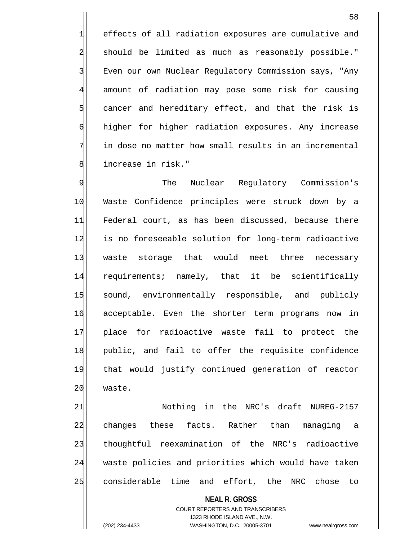1 effects of all radiation exposures are cumulative and 2 should be limited as much as reasonably possible." 3 Even our own Nuclear Regulatory Commission says, "Any 4 amount of radiation may pose some risk for causing  $5$  cancer and hereditary effect, and that the risk is 6 higher for higher radiation exposures. Any increase 7 in dose no matter how small results in an incremental 8 | increase in risk."

9 The Nuclear Regulatory Commission's 10 Waste Confidence principles were struck down by a 11 Federal court, as has been discussed, because there 12 is no foreseeable solution for long-term radioactive 13 waste storage that would meet three necessary 14 requirements; namely, that it be scientifically 15 sound, environmentally responsible, and publicly 16 acceptable. Even the shorter term programs now in 17 place for radioactive waste fail to protect the 18 public, and fail to offer the requisite confidence 19 that would justify continued generation of reactor 20 waste.

21 | Nothing in the NRC's draft NUREG-2157 22|| changes these facts. Rather than managing a 23 thoughtful reexamination of the NRC's radioactive 24 waste policies and priorities which would have taken 25 considerable time and effort, the NRC chose to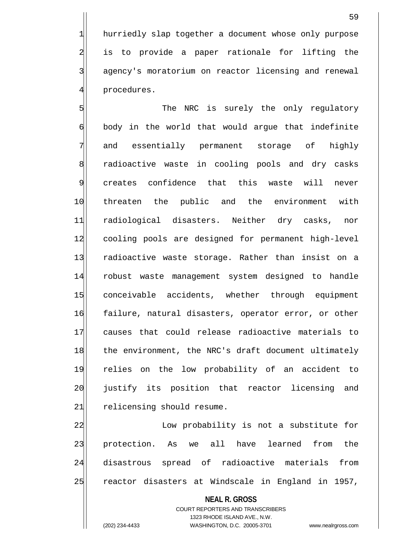1 hurriedly slap together a document whose only purpose 2 is to provide a paper rationale for lifting the 3 agency's moratorium on reactor licensing and renewal  $4$  procedures.

5 | S| The NRC is surely the only regulatory  $6$  body in the world that would argue that indefinite 7 and essentially permanent storage of highly 8 8 radioactive waste in cooling pools and dry casks 9 creates confidence that this waste will never 10 threaten the public and the environment with 11 radiological disasters. Neither dry casks, nor 12 cooling pools are designed for permanent high-level 13 radioactive waste storage. Rather than insist on a 14 robust waste management system designed to handle 15 conceivable accidents, whether through equipment 16 failure, natural disasters, operator error, or other 17 causes that could release radioactive materials to 18 the environment, the NRC's draft document ultimately 19 relies on the low probability of an accident to 20 | justify its position that reactor licensing and 21 relicensing should resume.

22 Low probability is not a substitute for 23 protection. As we all have learned from the 24 disastrous spread of radioactive materials from 25 reactor disasters at Windscale in England in 1957,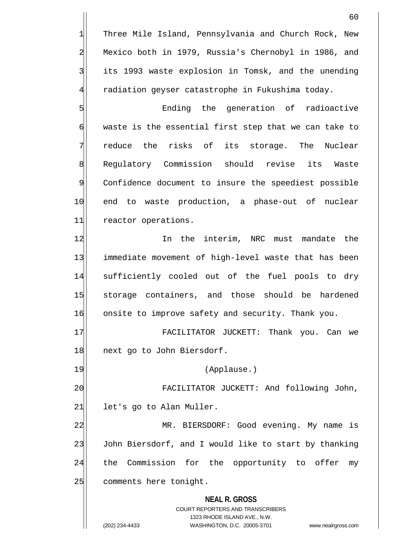1 Three Mile Island, Pennsylvania and Church Rock, New 2 Mexico both in 1979, Russia's Chernobyl in 1986, and 3 3 its 1993 waste explosion in Tomsk, and the unending  $4$  radiation geyser catastrophe in Fukushima today.

5 | Solution Ending the generation of radioactive  $6$  waste is the essential first step that we can take to 7 reduce the risks of its storage. The Nuclear 8 Requlatory Commission should revise its Waste 9 Confidence document to insure the speediest possible 10 end to waste production, a phase-out of nuclear 11 reactor operations.

12 12 In the interim, NRC must mandate the 13 immediate movement of high-level waste that has been 14 sufficiently cooled out of the fuel pools to dry 15 storage containers, and those should be hardened 16 onsite to improve safety and security. Thank you.

17 | FACILITATOR JUCKETT: Thank you. Can we 18 next go to John Biersdorf.

19 (Applause.)

20 FACILITATOR JUCKETT: And following John, 21 let's go to Alan Muller.

22 MR. BIERSDORF: Good evening. My name is 23 John Biersdorf, and I would like to start by thanking 24 the Commission for the opportunity to offer my 25 comments here tonight.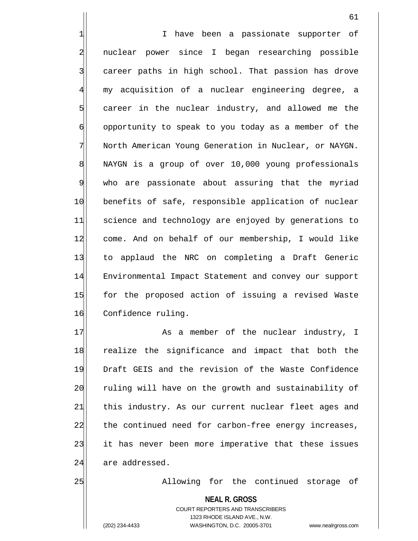1 1 I have been a passionate supporter of 2 nuclear power since I began researching possible 3 3 career paths in high school. That passion has drove  $4\vert$   $\vert$  my acquisition of a nuclear engineering degree, a  $5$  career in the nuclear industry, and allowed me the  $6$  opportunity to speak to you today as a member of the 7 North American Young Generation in Nuclear, or NAYGN. 8 NAYGN is a group of over 10,000 young professionals  $9$  who are passionate about assuring that the myriad 10 benefits of safe, responsible application of nuclear 11 science and technology are enjoyed by generations to 12 come. And on behalf of our membership, I would like 13 to applaud the NRC on completing a Draft Generic 14 Environmental Impact Statement and convey our support 15 for the proposed action of issuing a revised Waste 16 Confidence ruling.

17 As a member of the nuclear industry, I 18 realize the significance and impact that both the 19 Draft GEIS and the revision of the Waste Confidence 20 ruling will have on the growth and sustainability of 21 | this industry. As our current nuclear fleet ages and 22 the continued need for carbon-free energy increases, 23 it has never been more imperative that these issues  $24$  are addressed.

25 Allowing for the continued storage of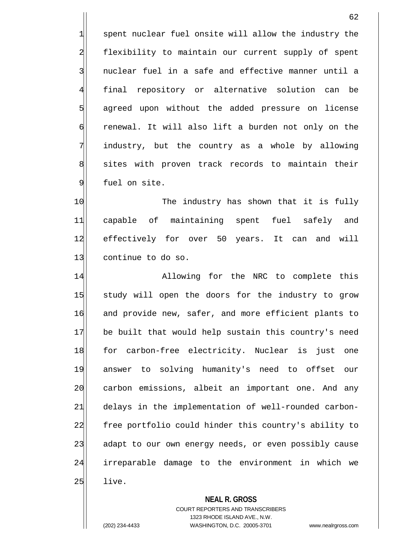$1$  spent nuclear fuel onsite will allow the industry the 2 flexibility to maintain our current supply of spent  $3$  nuclear fuel in a safe and effective manner until a 4 final repository or alternative solution can be 5 5 5 agreed upon without the added pressure on license 6 6 renewal. It will also lift a burden not only on the  $7$  industry, but the country as a whole by allowing 8 sites with proven track records to maintain their 9 fuel on site.

10 The industry has shown that it is fully 11 capable of maintaining spent fuel safely and 12 effectively for over 50 years. It can and will 13 continue to do so.

14 Allowing for the NRC to complete this 15 study will open the doors for the industry to grow 16 and provide new, safer, and more efficient plants to 17 be built that would help sustain this country's need 18 for carbon-free electricity. Nuclear is just one 19 answer to solving humanity's need to offset our 20 carbon emissions, albeit an important one. And any 21 delays in the implementation of well-rounded carbon-22 free portfolio could hinder this country's ability to 23 adapt to our own energy needs, or even possibly cause 24 irreparable damage to the environment in which we 25 live.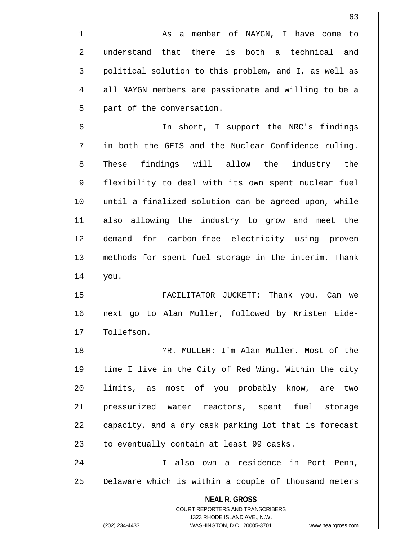6 6 In short, I support the NRC's findings 7 1 in both the GEIS and the Nuclear Confidence ruling. 8 8 Sheps indings will allow the industry the 9 flexibility to deal with its own spent nuclear fuel 10 until a finalized solution can be agreed upon, while 11 also allowing the industry to grow and meet the 12 demand for carbon-free electricity using proven 13 methods for spent fuel storage in the interim. Thank  $14$  you.

 $5$  part of the conversation.

15 FACILITATOR JUCKETT: Thank you. Can we 16 next go to Alan Muller, followed by Kristen Eide-17 Tollefson.

18 MR. MULLER: I'm Alan Muller. Most of the 19 time I live in the City of Red Wing. Within the city 20 limits, as most of you probably know, are two 21 pressurized water reactors, spent fuel storage 22 capacity, and a dry cask parking lot that is forecast 23 to eventually contain at least 99 casks.

24 I also own a residence in Port Penn, 25 Delaware which is within a couple of thousand meters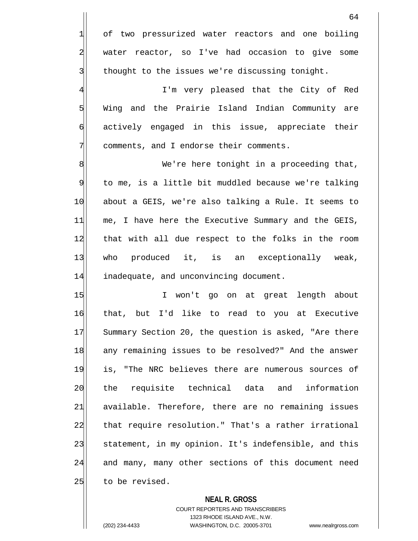64 1 of two pressurized water reactors and one boiling 2 water reactor, so I've had occasion to give some  $3$  thought to the issues we're discussing tonight. 4 I'm very pleased that the City of Red 5 | Wing and the Prairie Island Indian Community are  $6$  actively engaged in this issue, appreciate their 7 | comments, and I endorse their comments. 8 8 Me're here tonight in a proceeding that,  $9$  to me, is a little bit muddled because we're talking 10 about a GEIS, we're also talking a Rule. It seems to 11 me, I have here the Executive Summary and the GEIS, 12 that with all due respect to the folks in the room 13 who produced it, is an exceptionally weak, 14 inadequate, and unconvincing document. 15 I won't go on at great length about 16 that, but I'd like to read to you at Executive 17 Summary Section 20, the question is asked, "Are there 18 any remaining issues to be resolved?" And the answer 19 is, "The NRC believes there are numerous sources of 20 the requisite technical data and information 21 available. Therefore, there are no remaining issues 22 that require resolution." That's a rather irrational 23 statement, in my opinion. It's indefensible, and this 24 and many, many other sections of this document need 25 to be revised.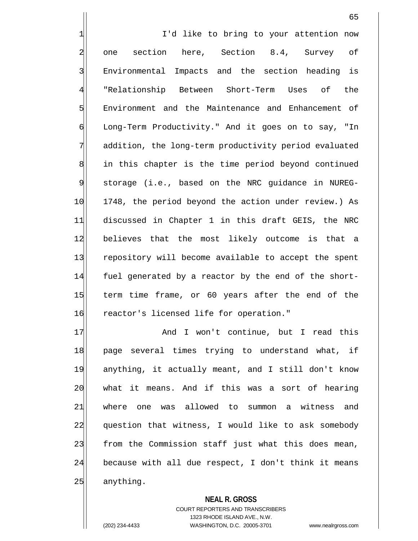1 II I'd like to bring to your attention now 2|| one section here, Section 8.4, Survey of 3 Environmental Impacts and the section heading is 4 "Relationship Between Short-Term Uses of the 5 Environment and the Maintenance and Enhancement of 6 Long-Term Productivity." And it goes on to say, "In 7 addition, the long-term productivity period evaluated 8 in this chapter is the time period beyond continued  $9$  storage (i.e., based on the NRC quidance in NUREG-10 1748, the period beyond the action under review.) As 11 discussed in Chapter 1 in this draft GEIS, the NRC 12 believes that the most likely outcome is that a 13 repository will become available to accept the spent 14 fuel generated by a reactor by the end of the short-15 term time frame, or 60 years after the end of the 16 reactor's licensed life for operation."

17 and I won't continue, but I read this 18 page several times trying to understand what, if 19 anything, it actually meant, and I still don't know 20 what it means. And if this was a sort of hearing 21 where one was allowed to summon a witness and 22 question that witness, I would like to ask somebody 23 from the Commission staff just what this does mean,  $24$  because with all due respect, I don't think it means 25 anything.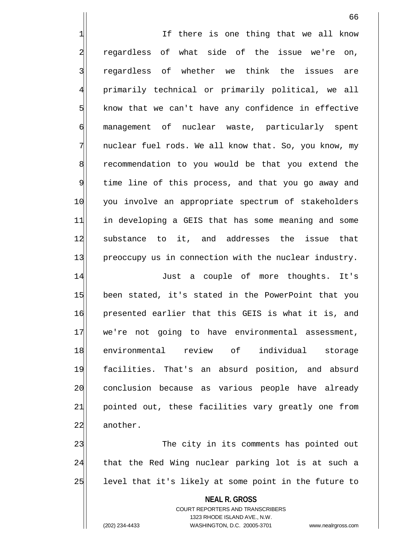1| 1| If there is one thing that we all know  $2$  regardless of what side of the issue we're on, 3 | regardless of whether we think the issues are 4 primarily technical or primarily political, we all  $5$  know that we can't have any confidence in effective 6 management of nuclear waste, particularly spent 7 | nuclear fuel rods. We all know that. So, you know, my 8 8 8 8 recommendation to you would be that you extend the  $9$  time line of this process, and that you go away and 10 you involve an appropriate spectrum of stakeholders 11 in developing a GEIS that has some meaning and some 12 substance to it, and addresses the issue that 13 preoccupy us in connection with the nuclear industry. 14 Just a couple of more thoughts. It's 15 been stated, it's stated in the PowerPoint that you 16 presented earlier that this GEIS is what it is, and 17 we're not going to have environmental assessment, 18 environmental review of individual storage 19 facilities. That's an absurd position, and absurd 20 conclusion because as various people have already

21 pointed out, these facilities vary greatly one from 22 another.

23 The city in its comments has pointed out 24 that the Red Wing nuclear parking lot is at such a 25 level that it's likely at some point in the future to

> **NEAL R. GROSS** COURT REPORTERS AND TRANSCRIBERS 1323 RHODE ISLAND AVE., N.W. (202) 234-4433 WASHINGTON, D.C. 20005-3701 www.nealrgross.com

66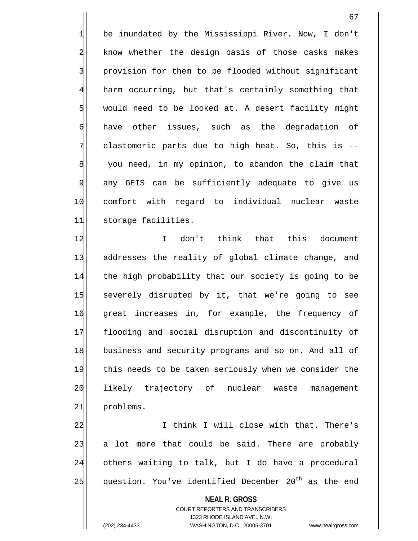1 be inundated by the Mississippi River. Now, I don't 2 know whether the design basis of those casks makes 3 | provision for them to be flooded without significant 4 harm occurring, but that's certainly something that  $5$  would need to be looked at. A desert facility might  $6$  have other issues, such as the degradation of  $7$  elastomeric parts due to high heat. So, this is  $-$ 8 you need, in my opinion, to abandon the claim that 9 any GEIS can be sufficiently adequate to give us 10 comfort with regard to individual nuclear waste 11 storage facilities.

12|| I don't think that this document 13 addresses the reality of global climate change, and 14 the high probability that our society is going to be 15 severely disrupted by it, that we're going to see 16 great increases in, for example, the frequency of 17 flooding and social disruption and discontinuity of 18 business and security programs and so on. And all of 19 this needs to be taken seriously when we consider the 20 likely trajectory of nuclear waste management 21 problems.

22 I think I will close with that. There's 23 a lot more that could be said. There are probably 24 others waiting to talk, but I do have a procedural  $25$  question. You've identified December  $20^{th}$  as the end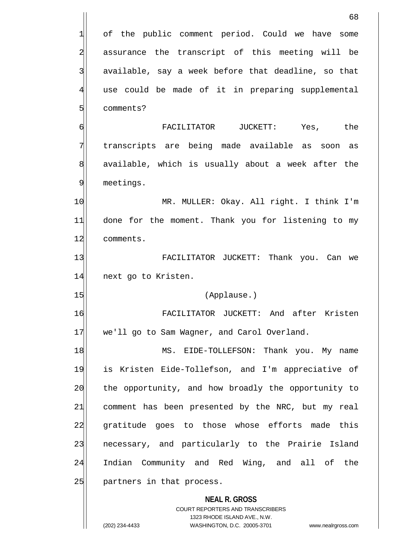|                | 68                                                                  |
|----------------|---------------------------------------------------------------------|
| $\mathbf 1$    | of the public comment period. Could we have some                    |
| $\overline{2}$ | assurance the transcript of this meeting will be                    |
| 3              | available, say a week before that deadline, so that                 |
| 4              | use could be made of it in preparing supplemental                   |
| 5              | comments?                                                           |
| 6              | FACILITATOR<br>JUCKETT:<br>Yes, the                                 |
| 7              | transcripts are being made available as<br>soon<br>as               |
| 8              | available, which is usually about a week after the                  |
| 9              | meetings.                                                           |
| 10             | MR. MULLER: Okay. All right. I think I'm                            |
| 11             | done for the moment. Thank you for listening to my                  |
| 12             | comments.                                                           |
| 13             | FACILITATOR JUCKETT: Thank you. Can we                              |
| 14             | next go to Kristen.                                                 |
| 15             | (Applause.)                                                         |
| 16             | FACILITATOR JUCKETT: And after Kristen                              |
| 17             | we'll go to Sam Wagner, and Carol Overland.                         |
| 18             | MS. EIDE-TOLLEFSON: Thank you. My name                              |
| 19             | is Kristen Eide-Tollefson, and I'm appreciative of                  |
| 20             | the opportunity, and how broadly the opportunity to                 |
| 21             | comment has been presented by the NRC, but my real                  |
| 22             | gratitude goes to those whose efforts made this                     |
| 23             | necessary, and particularly to the Prairie Island                   |
| 24             | Indian Community and Red Wing, and all of<br>the                    |
| 25             | partners in that process.                                           |
|                | <b>NEAL R. GROSS</b>                                                |
|                | COURT REPORTERS AND TRANSCRIBERS<br>1323 RHODE ISLAND AVE., N.W.    |
|                | WASHINGTON, D.C. 20005-3701<br>(202) 234-4433<br>www.nealrgross.com |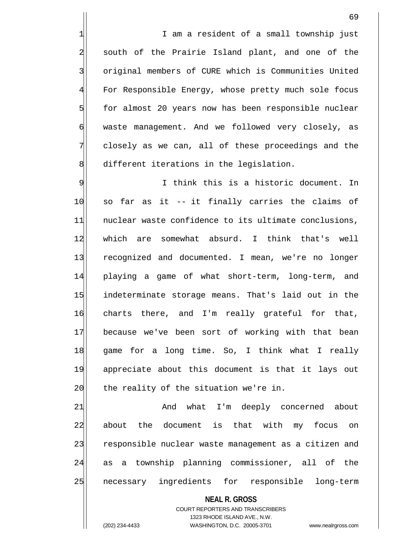1 1 I am a resident of a small township just 2 south of the Prairie Island plant, and one of the 3 original members of CURE which is Communities United 4 For Responsible Energy, whose pretty much sole focus 5 for almost 20 years now has been responsible nuclear 6 waste management. And we followed very closely, as 7 The closely as we can, all of these proceedings and the 8 different iterations in the legislation.

9 I think this is a historic document. In 10 so far as it -- it finally carries the claims of 11 | nuclear waste confidence to its ultimate conclusions, 12 which are somewhat absurd. I think that's well 13 recognized and documented. I mean, we're no longer 14 playing a game of what short-term, long-term, and 15 indeterminate storage means. That's laid out in the 16 charts there, and I'm really grateful for that, 17 because we've been sort of working with that bean 18 | game for a long time. So, I think what I really 19 appreciate about this document is that it lays out 20 the reality of the situation we're in.

21 and what I'm deeply concerned about 22 about the document is that with my focus on 23 responsible nuclear waste management as a citizen and 24 as a township planning commissioner, all of the 25 necessary ingredients for responsible long-term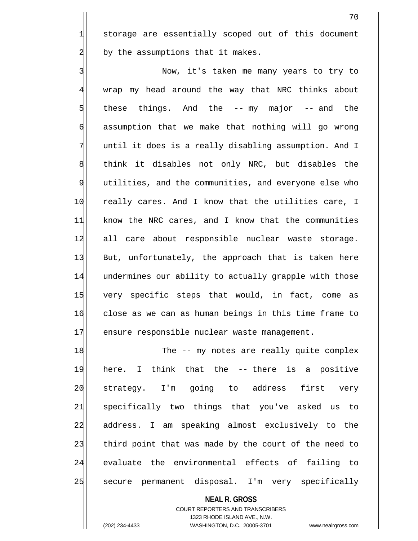1 storage are essentially scoped out of this document  $2$  by the assumptions that it makes.

3 | Now, it's taken me many years to try to 4 wrap my head around the way that NRC thinks about  $5$  these things. And the  $-$ - my major  $-$ - and the  $6$  assumption that we make that nothing will go wrong 7 7 and it does is a really disabling assumption. And I  $8$  think it disables not only NRC, but disables the 9 9 utilities, and the communities, and everyone else who 10 really cares. And I know that the utilities care, I 11 know the NRC cares, and I know that the communities 12 all care about responsible nuclear waste storage. 13 But, unfortunately, the approach that is taken here 14 undermines our ability to actually grapple with those 15 very specific steps that would, in fact, come as 16 close as we can as human beings in this time frame to 17 ensure responsible nuclear waste management.

18 The -- my notes are really quite complex 19 here. I think that the -- there is a positive 20 strategy. I'm going to address first very 21| specifically two things that you've asked us to 22 address. I am speaking almost exclusively to the 23 third point that was made by the court of the need to 24 evaluate the environmental effects of failing to 25 | secure permanent disposal. I'm very specifically

#### **NEAL R. GROSS** COURT REPORTERS AND TRANSCRIBERS

1323 RHODE ISLAND AVE., N.W. (202) 234-4433 WASHINGTON, D.C. 20005-3701 www.nealrgross.com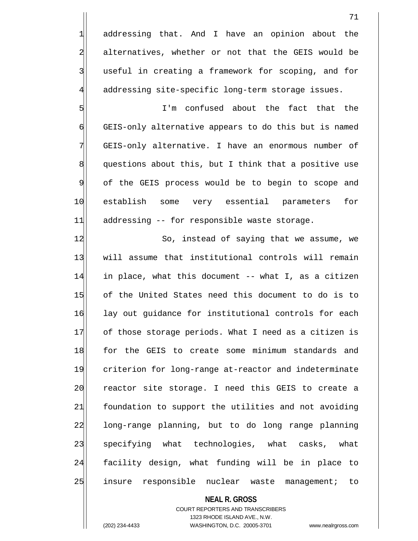1 addressing that. And I have an opinion about the 2 alternatives, whether or not that the GEIS would be 3 3 | useful in creating a framework for scoping, and for 4 addressing site-specific long-term storage issues.

5 I'm confused about the fact that the 6 GEIS-only alternative appears to do this but is named 7 GEIS-only alternative. I have an enormous number of  $8$  questions about this, but I think that a positive use 9 of the GEIS process would be to begin to scope and 10 establish some very essential parameters for 11 addressing -- for responsible waste storage.

12 So, instead of saying that we assume, we 13 Will assume that institutional controls will remain  $14$  in place, what this document -- what I, as a citizen 15 of the United States need this document to do is to 16 | lay out guidance for institutional controls for each 17 of those storage periods. What I need as a citizen is 18 for the GEIS to create some minimum standards and 19 criterion for long-range at-reactor and indeterminate 20 reactor site storage. I need this GEIS to create a 21 foundation to support the utilities and not avoiding 22 long-range planning, but to do long range planning 23 specifying what technologies, what casks, what 24 facility design, what funding will be in place to 25 insure responsible nuclear waste management; to

### **NEAL R. GROSS**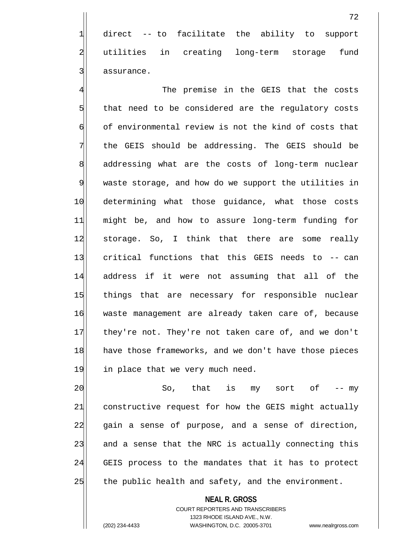1 direct -- to facilitate the ability to support 2 utilities in creating long-term storage fund  $3$  assurance.

4 The premise in the GEIS that the costs  $5$  that need to be considered are the regulatory costs  $6$  of environmental review is not the kind of costs that 7 The GEIS should be addressing. The GEIS should be 8 addressing what are the costs of long-term nuclear  $9$  waste storage, and how do we support the utilities in 10 determining what those guidance, what those costs 11 might be, and how to assure long-term funding for 12 storage. So, I think that there are some really 13 critical functions that this GEIS needs to -- can 14 address if it were not assuming that all of the 15 things that are necessary for responsible nuclear 16 waste management are already taken care of, because 17 they're not. They're not taken care of, and we don't 18 have those frameworks, and we don't have those pieces 19 in place that we very much need.

20 So, that is my sort of -- my 21 constructive request for how the GEIS might actually 22 gain a sense of purpose, and a sense of direction, 23 and a sense that the NRC is actually connecting this 24 GEIS process to the mandates that it has to protect 25 the public health and safety, and the environment.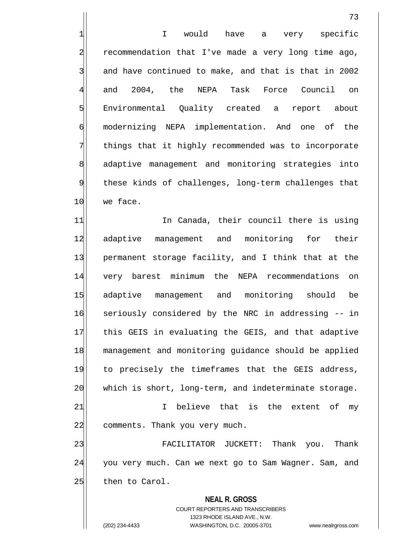1|| I would have a very specific  $2$  recommendation that I've made a very long time ago,  $3$  and have continued to make, and that is that in 2002 4 and 2004, the NEPA Task Force Council on 5 Environmental Quality created a report about 6 modernizing NEPA implementation. And one of the 7 The things that it highly recommended was to incorporate 8 adaptive management and monitoring strategies into 9 these kinds of challenges, long-term challenges that 10 we face.

11 In Canada, their council there is using 12 adaptive management and monitoring for their 13 permanent storage facility, and I think that at the 14 very barest minimum the NEPA recommendations on 15 adaptive management and monitoring should be 16 seriously considered by the NRC in addressing -- in 17 This GEIS in evaluating the GEIS, and that adaptive 18 management and monitoring guidance should be applied 19 to precisely the timeframes that the GEIS address,  $20$  which is short, long-term, and indeterminate storage. 21 I believe that is the extent of my 22 comments. Thank you very much. 23 FACILITATOR JUCKETT: Thank you. Thank

24 you very much. Can we next go to Sam Wagner. Sam, and 25 then to Carol.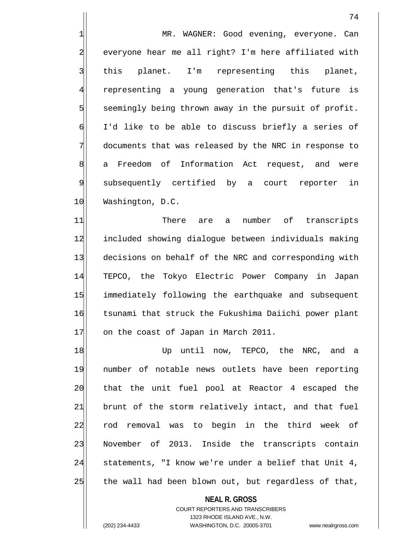1| MR. WAGNER: Good evening, everyone. Can 2 everyone hear me all right? I'm here affiliated with 3 and this planet. I'm representing this planet, 4 representing a young generation that's future is 5 seemingly being thrown away in the pursuit of profit.  $6$  I'd like to be able to discuss briefly a series of 7 documents that was released by the NRC in response to 8 a Freedom of Information Act request, and were 9 subsequently certified by a court reporter in 10 Washington, D.C.

11 There are a number of transcripts 12 included showing dialogue between individuals making 13 decisions on behalf of the NRC and corresponding with 14 TEPCO, the Tokyo Electric Power Company in Japan 15 immediately following the earthquake and subsequent 16 tsunami that struck the Fukushima Daiichi power plant 17 on the coast of Japan in March 2011.

18 Up until now, TEPCO, the NRC, and a 19 number of notable news outlets have been reporting 20 that the unit fuel pool at Reactor 4 escaped the 21 brunt of the storm relatively intact, and that fuel 22 rod removal was to begin in the third week of 23 November of 2013. Inside the transcripts contain 24 statements, "I know we're under a belief that Unit 4, 25 the wall had been blown out, but regardless of that,

> **NEAL R. GROSS** COURT REPORTERS AND TRANSCRIBERS 1323 RHODE ISLAND AVE., N.W. (202) 234-4433 WASHINGTON, D.C. 20005-3701 www.nealrgross.com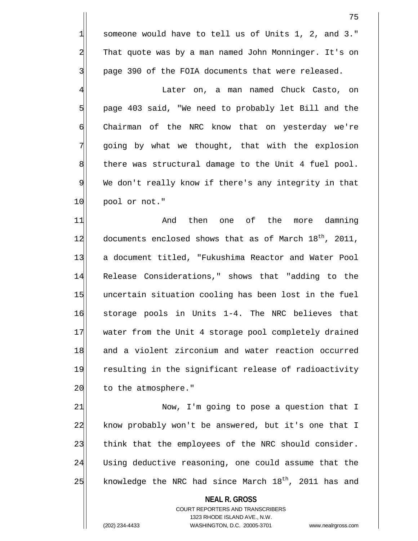1| someone would have to tell us of Units 1, 2, and 3." 2 That quote was by a man named John Monninger. It's on  $3$  page 390 of the FOIA documents that were released.

4 Exter on, a man named Chuck Casto, on  $5$  page 403 said, "We need to probably let Bill and the 6 Chairman of the NRC know that on yesterday we're 7 going by what we thought, that with the explosion  $8$  there was structural damage to the Unit 4 fuel pool.  $9$  We don't really know if there's any integrity in that 10 pool or not."

11 And then one of the more damning 12 documents enclosed shows that as of March  $18^{\text{th}}$ , 2011, 13 a document titled, "Fukushima Reactor and Water Pool 14 Release Considerations," shows that "adding to the 15 uncertain situation cooling has been lost in the fuel 16 storage pools in Units 1-4. The NRC believes that 17 water from the Unit 4 storage pool completely drained 18 and a violent zirconium and water reaction occurred 19 resulting in the significant release of radioactivity 20 to the atmosphere."

21 | Now, I'm going to pose a question that I 22 know probably won't be answered, but it's one that I 23 think that the employees of the NRC should consider. 24 Using deductive reasoning, one could assume that the 25  $\vert$  knowledge the NRC had since March 18<sup>th</sup>, 2011 has and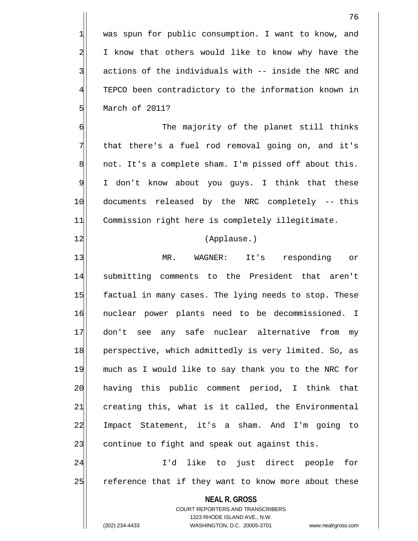1 was spun for public consumption. I want to know, and 2 I know that others would like to know why have the  $3$  actions of the individuals with  $-$  inside the NRC and 4 TEPCO been contradictory to the information known in  $5$  March of 2011?

6 6 The majority of the planet still thinks 7 That there's a fuel rod removal going on, and it's 8 not. It's a complete sham. I'm pissed off about this. 9 I don't know about you guys. I think that these 10 documents released by the NRC completely -- this 11 Commission right here is completely illegitimate.

## 12 (Applause.)

13 MR. WAGNER: It's responding or 14 submitting comments to the President that aren't 15 factual in many cases. The lying needs to stop. These 16 | nuclear power plants need to be decommissioned. I 17 don't see any safe nuclear alternative from my 18 perspective, which admittedly is very limited. So, as 19 much as I would like to say thank you to the NRC for 20 having this public comment period, I think that 21 creating this, what is it called, the Environmental 22 Impact Statement, it's a sham. And I'm going to 23 continue to fight and speak out against this.

24 | I'd like to just direct people for 25 reference that if they want to know more about these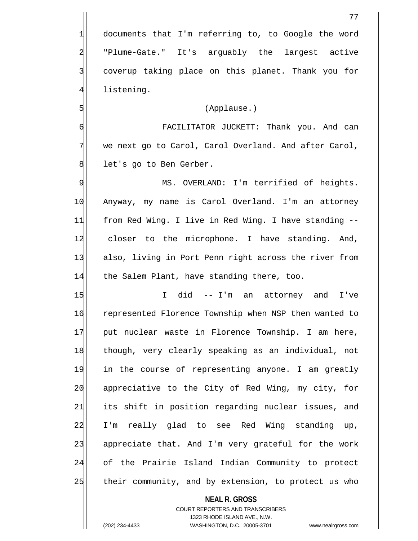**NEAL R. GROSS** COURT REPORTERS AND TRANSCRIBERS 77 1 documents that I'm referring to, to Google the word 2 "Plume-Gate." It's arguably the largest active 3 3 3 coverup taking place on this planet. Thank you for 4 listening. 5 (Applause.) 6 FACILITATOR JUCKETT: Thank you. And can 7 we next go to Carol, Carol Overland. And after Carol, 8 | let's go to Ben Gerber. 9 MS. OVERLAND: I'm terrified of heights. 10 Anyway, my name is Carol Overland. I'm an attorney 11 from Red Wing. I live in Red Wing. I have standing --12 closer to the microphone. I have standing. And, 13 also, living in Port Penn right across the river from  $14$  the Salem Plant, have standing there, too. 15 I did -- I'm an attorney and I've 16 represented Florence Township when NSP then wanted to 17 put nuclear waste in Florence Township. I am here, 18 though, very clearly speaking as an individual, not 19 in the course of representing anyone. I am greatly 20 appreciative to the City of Red Wing, my city, for 21 its shift in position regarding nuclear issues, and  $22$  I'm really glad to see Red Wing standing up, 23 appreciate that. And I'm very grateful for the work 24 of the Prairie Island Indian Community to protect 25 their community, and by extension, to protect us who

1323 RHODE ISLAND AVE., N.W.

(202) 234-4433 WASHINGTON, D.C. 20005-3701 www.nealrgross.com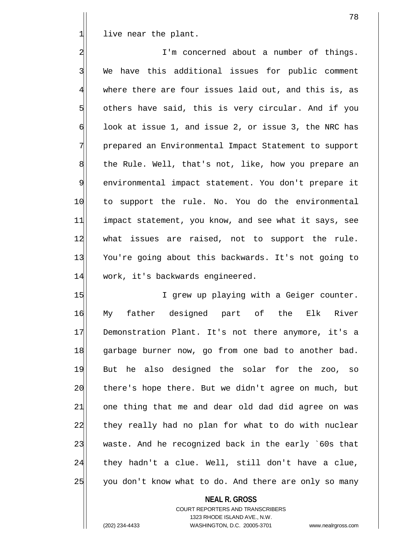$1$ | live near the plant.

2 I'm concerned about a number of things. 3 We have this additional issues for public comment  $4$  where there are four issues laid out, and this is, as  $5$  others have said, this is very circular. And if you  $6$  look at issue 1, and issue 2, or issue 3, the NRC has 7 | prepared an Environmental Impact Statement to support 8 the Rule. Well, that's not, like, how you prepare an 9 environmental impact statement. You don't prepare it 10 to support the rule. No. You do the environmental 11 impact statement, you know, and see what it says, see 12 what issues are raised, not to support the rule. 13 You're going about this backwards. It's not going to 14 work, it's backwards engineered.

15 I grew up playing with a Geiger counter. 16 My father designed part of the Elk River 17 Demonstration Plant. It's not there anymore, it's a 18 garbage burner now, go from one bad to another bad. 19 But he also designed the solar for the zoo, so 20 there's hope there. But we didn't agree on much, but 21 one thing that me and dear old dad did agree on was 22 they really had no plan for what to do with nuclear 23 waste. And he recognized back in the early `60s that  $24$  they hadn't a clue. Well, still don't have a clue, 25 you don't know what to do. And there are only so many

> **NEAL R. GROSS** COURT REPORTERS AND TRANSCRIBERS 1323 RHODE ISLAND AVE., N.W. (202) 234-4433 WASHINGTON, D.C. 20005-3701 www.nealrgross.com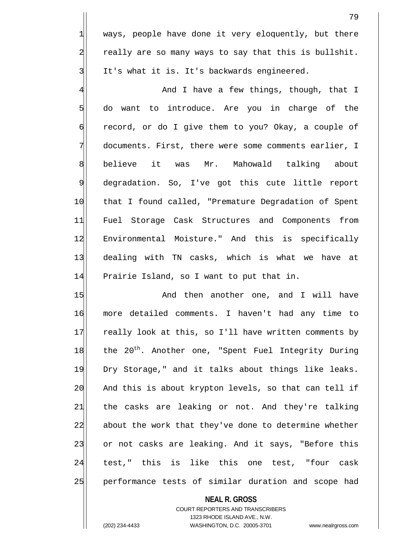1 ways, people have done it very eloquently, but there  $2$  really are so many ways to say that this is bullshit.  $3$  It's what it is. It's backwards engineered.

4 And I have a few things, though, that I  $5$  do want to introduce. Are you in charge of the  $6$  record, or do I give them to you? Okay, a couple of 7 documents. First, there were some comments earlier, I 8|| believe it was Mr. Mahowald talking about 9 degradation. So, I've got this cute little report 10 that I found called, "Premature Degradation of Spent 11 Fuel Storage Cask Structures and Components from 12 Environmental Moisture." And this is specifically 13 dealing with TN casks, which is what we have at 14 Prairie Island, so I want to put that in.

15| And then another one, and I will have 16 more detailed comments. I haven't had any time to 17 really look at this, so I'll have written comments by 18  $\vert$  the 20<sup>th</sup>. Another one, "Spent Fuel Integrity During 19 Dry Storage," and it talks about things like leaks. 20 And this is about krypton levels, so that can tell if 21 the casks are leaking or not. And they're talking 22 about the work that they've done to determine whether 23 or not casks are leaking. And it says, "Before this 24 test," this is like this one test, "four cask 25 performance tests of similar duration and scope had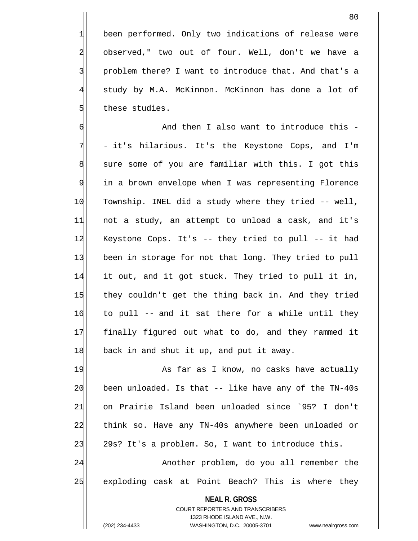1 been performed. Only two indications of release were 2 observed," two out of four. Well, don't we have a  $3$  problem there? I want to introduce that. And that's a 4 study by M.A. McKinnon. McKinnon has done a lot of  $5$  these studies.

6 6 And then I also want to introduce this 7 - it's hilarious. It's the Keystone Cops, and I'm  $8$  sure some of you are familiar with this. I got this 9 in a brown envelope when I was representing Florence 10 Township. INEL did a study where they tried -- well, 11 not a study, an attempt to unload a cask, and it's 12 Keystone Cops. It's -- they tried to pull -- it had 13 been in storage for not that long. They tried to pull 14 it out, and it got stuck. They tried to pull it in, 15 they couldn't get the thing back in. And they tried 16 to pull -- and it sat there for a while until they 17 | finally figured out what to do, and they rammed it 18 back in and shut it up, and put it away.

19 As far as I know, no casks have actually  $20$  been unloaded. Is that  $-$  like have any of the TN-40s 21 on Prairie Island been unloaded since `95? I don't 22 | think so. Have any TN-40s anywhere been unloaded or 23 29s? It's a problem. So, I want to introduce this.

24 Another problem, do you all remember the 25 exploding cask at Point Beach? This is where they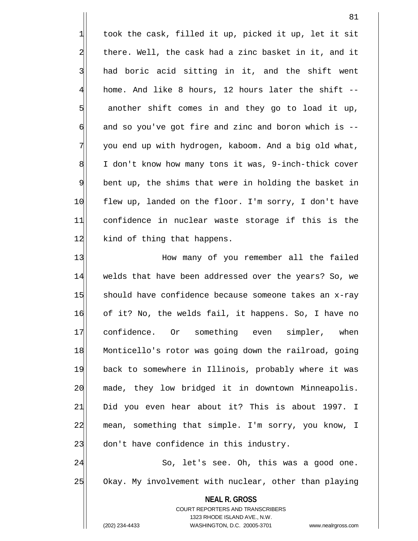$1$  took the cask, filled it up, picked it up, let it sit  $2$  there. Well, the cask had a zinc basket in it, and it  $3$  had boric acid sitting in it, and the shift went  $4$  home. And like 8 hours, 12 hours later the shift --5 5 5 5 another shift comes in and they go to load it up,  $6$  and so you've got fire and zinc and boron which is  $-$ 7 you end up with hydrogen, kaboom. And a big old what, 8 I don't know how many tons it was, 9-inch-thick cover  $9$  bent up, the shims that were in holding the basket in 10 flew up, landed on the floor. I'm sorry, I don't have 11 confidence in nuclear waste storage if this is the 12 kind of thing that happens.

13 How many of you remember all the failed 14 welds that have been addressed over the years? So, we 15 Should have confidence because someone takes an x-ray 16 of it? No, the welds fail, it happens. So, I have no 17 confidence. Or something even simpler, when 18 Monticello's rotor was going down the railroad, going 19 back to somewhere in Illinois, probably where it was 20 made, they low bridged it in downtown Minneapolis. 21 Did you even hear about it? This is about 1997. I 22 mean, something that simple. I'm sorry, you know, I 23 don't have confidence in this industry. 24 So, let's see. Oh, this was a good one.

25 Okay. My involvement with nuclear, other than playing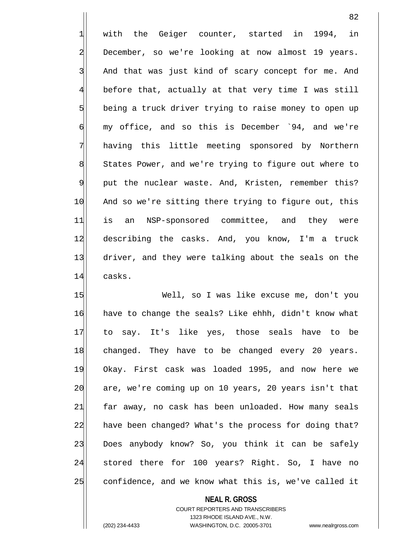1 with the Geiger counter, started in 1994, in 2 December, so we're looking at now almost 19 years.  $3$  And that was just kind of scary concept for me. And  $4$  before that, actually at that very time I was still 5 being a truck driver trying to raise money to open up  $6$  my office, and so this is December `94, and we're 7 having this little meeting sponsored by Northern 8 States Power, and we're trying to figure out where to 9 put the nuclear waste. And, Kristen, remember this? 10 And so we're sitting there trying to figure out, this 11 is an NSP-sponsored committee, and they were 12 describing the casks. And, you know, I'm a truck 13 driver, and they were talking about the seals on the 14 casks. 15 Well, so I was like excuse me, don't you

16 have to change the seals? Like ehhh, didn't know what 17 to say. It's like yes, those seals have to be 18 changed. They have to be changed every 20 years. 19 Okay. First cask was loaded 1995, and now here we 20 are, we're coming up on 10 years, 20 years isn't that 21| far away, no cask has been unloaded. How many seals 22 have been changed? What's the process for doing that? 23 Does anybody know? So, you think it can be safely 24 stored there for 100 years? Right. So, I have no 25 confidence, and we know what this is, we've called it

## **NEAL R. GROSS**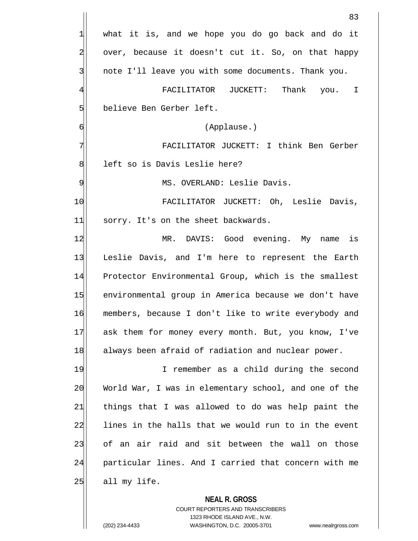|                | 83                                                    |
|----------------|-------------------------------------------------------|
| $\mathbf{1}$   | what it is, and we hope you do go back and do it      |
| $\overline{a}$ | over, because it doesn't cut it. So, on that happy    |
| 3              | note I'll leave you with some documents. Thank you.   |
| 4              | FACILITATOR JUCKETT: Thank you. I                     |
| 5              | believe Ben Gerber left.                              |
| 6              | (Applause.)                                           |
| 7              | FACILITATOR JUCKETT: I think Ben Gerber               |
| 8              | left so is Davis Leslie here?                         |
| 9              | MS. OVERLAND: Leslie Davis.                           |
| 10             | FACILITATOR JUCKETT: Oh, Leslie Davis,                |
| 11             | sorry. It's on the sheet backwards.                   |
| 12             | MR. DAVIS: Good evening. My name is                   |
| 13             | Leslie Davis, and I'm here to represent the Earth     |
| 14             | Protector Environmental Group, which is the smallest  |
| 15             | environmental group in America because we don't have  |
| 16             | members, because I don't like to write everybody and  |
| 17             | ask them for money every month. But, you know, I've   |
| 18             | always been afraid of radiation and nuclear power.    |
| 19             | I remember as a child during the second               |
| 20             | World War, I was in elementary school, and one of the |
| 21             | things that I was allowed to do was help paint the    |
| 22             | lines in the halls that we would run to in the event  |
| 23             | of an air raid and sit between the wall on those      |
| 24             | particular lines. And I carried that concern with me  |
| 25             | all my life.                                          |
|                | <b>NEAL R. GROSS</b>                                  |

COURT REPORTERS AND TRANSCRIBERS 1323 RHODE ISLAND AVE., N.W.

 $\mathsf{II}$ 

(202) 234-4433 WASHINGTON, D.C. 20005-3701 www.nealrgross.com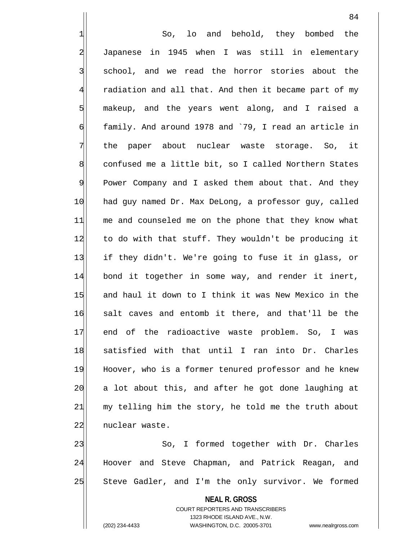1 1 So, lo and behold, they bombed the 2 Japanese in 1945 when I was still in elementary  $3$  school, and we read the horror stories about the 4 radiation and all that. And then it became part of my 5 makeup, and the years went along, and I raised a 6 6 family. And around 1978 and `79, I read an article in 7 The paper about nuclear waste storage. So, it 8 confused me a little bit, so I called Northern States  $9$  Power Company and I asked them about that. And they 10 had guy named Dr. Max DeLong, a professor guy, called 11 me and counseled me on the phone that they know what 12 to do with that stuff. They wouldn't be producing it 13 if they didn't. We're going to fuse it in glass, or 14 bond it together in some way, and render it inert, 15 and haul it down to I think it was New Mexico in the 16 salt caves and entomb it there, and that'll be the 17 end of the radioactive waste problem. So, I was 18 satisfied with that until I ran into Dr. Charles 19 Hoover, who is a former tenured professor and he knew 20 a lot about this, and after he got done laughing at 21 my telling him the story, he told me the truth about 22 nuclear waste. 23 So, I formed together with Dr. Charles

24 Hoover and Steve Chapman, and Patrick Reagan, and 25 Steve Gadler, and I'm the only survivor. We formed

> **NEAL R. GROSS** COURT REPORTERS AND TRANSCRIBERS 1323 RHODE ISLAND AVE., N.W. (202) 234-4433 WASHINGTON, D.C. 20005-3701 www.nealrgross.com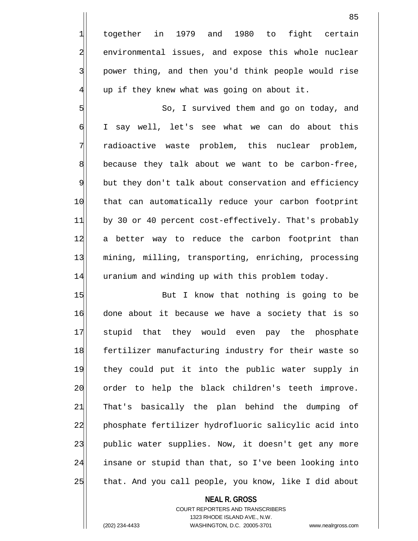1 together in 1979 and 1980 to fight certain 2 environmental issues, and expose this whole nuclear 3 | power thing, and then you'd think people would rise  $4$  up if they knew what was going on about it.

5 So, I survived them and go on today, and  $6$  I say well, let's see what we can do about this 7 | radioactive waste problem, this nuclear problem,  $8$  because they talk about we want to be carbon-free,  $9$  but they don't talk about conservation and efficiency 10 that can automatically reduce your carbon footprint 11 by 30 or 40 percent cost-effectively. That's probably 12 a better way to reduce the carbon footprint than 13 mining, milling, transporting, enriching, processing 14 uranium and winding up with this problem today.

15 But I know that nothing is going to be 16 done about it because we have a society that is so 17 stupid that they would even pay the phosphate 18 fertilizer manufacturing industry for their waste so 19 they could put it into the public water supply in 20 order to help the black children's teeth improve. 21 That's basically the plan behind the dumping of 22 phosphate fertilizer hydrofluoric salicylic acid into 23 public water supplies. Now, it doesn't get any more 24 insane or stupid than that, so I've been looking into 25 that. And you call people, you know, like I did about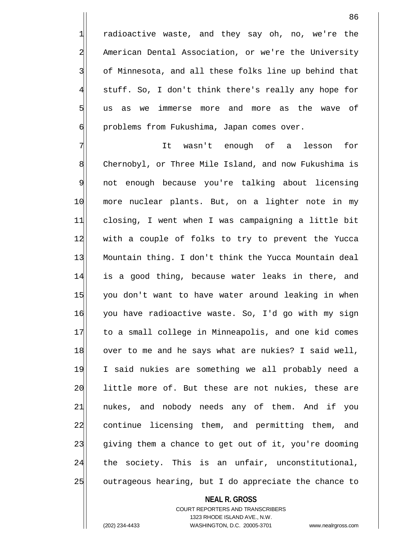radioactive waste, and they say oh, no, we're the 2 American Dental Association, or we're the University of Minnesota, and all these folks line up behind that stuff. So, I don't think there's really any hope for us as we immerse more and more as the wave of 6 problems from Fukushima, Japan comes over.

7|| It wasn't enough of a lesson for 8 Chernobyl, or Three Mile Island, and now Fukushima is 9 not enough because you're talking about licensing 10 more nuclear plants. But, on a lighter note in my 11 closing, I went when I was campaigning a little bit 12 with a couple of folks to try to prevent the Yucca 13 Mountain thing. I don't think the Yucca Mountain deal 14 is a good thing, because water leaks in there, and 15 you don't want to have water around leaking in when 16 you have radioactive waste. So, I'd go with my sign 17 to a small college in Minneapolis, and one kid comes 18 over to me and he says what are nukies? I said well, 19 I said nukies are something we all probably need a 20 little more of. But these are not nukies, these are 21 | nukes, and nobody needs any of them. And if you 22 continue licensing them, and permitting them, and 23 giving them a chance to get out of it, you're dooming 24 the society. This is an unfair, unconstitutional, 25 outrageous hearing, but I do appreciate the chance to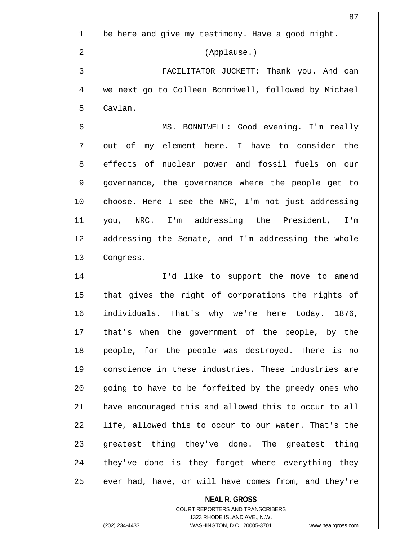$1$  be here and give my testimony. Have a good night.

2 (Applause.)

3 FACILITATOR JUCKETT: Thank you. And can 4 we next go to Colleen Bonniwell, followed by Michael  $5$  Cavlan.

6 MS. BONNIWELL: Good evening. I'm really  $7$  out of my element here. I have to consider the 8 effects of nuclear power and fossil fuels on our 9 governance, the governance where the people get to 10 choose. Here I see the NRC, I'm not just addressing 11 you, NRC. I'm addressing the President, I'm 12 addressing the Senate, and I'm addressing the whole 13 Congress.

14 I'd like to support the move to amend 15 that gives the right of corporations the rights of 16 individuals. That's why we're here today. 1876, 17 that's when the government of the people, by the 18 people, for the people was destroyed. There is no 19 conscience in these industries. These industries are 20 going to have to be forfeited by the greedy ones who 21 have encouraged this and allowed this to occur to all 22 life, allowed this to occur to our water. That's the 23 greatest thing they've done. The greatest thing 24 they've done is they forget where everything they 25 ever had, have, or will have comes from, and they're

## **NEAL R. GROSS**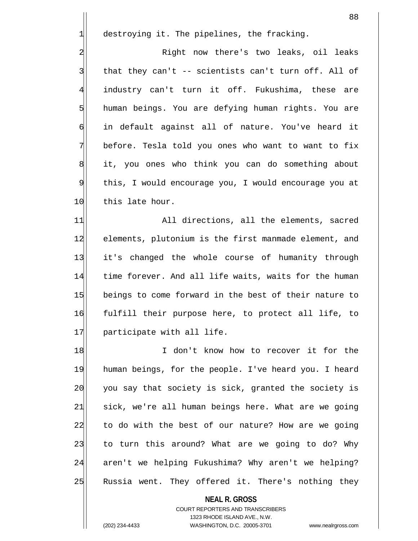$1$  destroying it. The pipelines, the fracking.

2 Right now there's two leaks, oil leaks  $3$  that they can't -- scientists can't turn off. All of 4 industry can't turn it off. Fukushima, these are 5 human beings. You are defying human rights. You are  $6$  in default against all of nature. You've heard it 7 before. Tesla told you ones who want to want to fix 8 it, you ones who think you can do something about 9 this, I would encourage you, I would encourage you at 10 this late hour.

11 All directions, all the elements, sacred 12 elements, plutonium is the first manmade element, and 13 it's changed the whole course of humanity through 14 time forever. And all life waits, waits for the human 15 beings to come forward in the best of their nature to 16 fulfill their purpose here, to protect all life, to 17 participate with all life.

18 I don't know how to recover it for the 19 human beings, for the people. I've heard you. I heard 20 you say that society is sick, granted the society is 21 sick, we're all human beings here. What are we going  $22$  to do with the best of our nature? How are we going 23 to turn this around? What are we going to do? Why 24 aren't we helping Fukushima? Why aren't we helping? 25 Russia went. They offered it. There's nothing they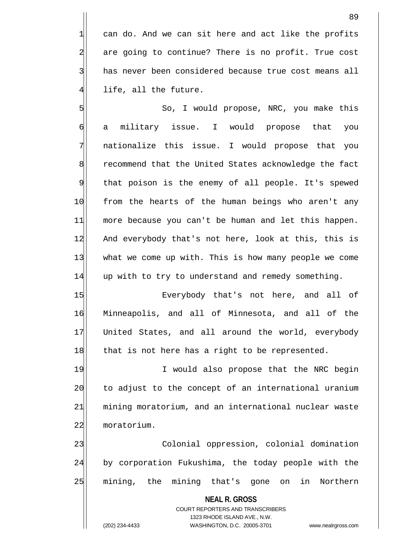$1$  can do. And we can sit here and act like the profits 2 are going to continue? There is no profit. True cost 3 has never been considered because true cost means all  $4$  life, all the future.

5 So, I would propose, NRC, you make this 6 a military issue. I would propose that you 7 | nationalize this issue. I would propose that you 8 8 recommend that the United States acknowledge the fact 9 that poison is the enemy of all people. It's spewed 10 from the hearts of the human beings who aren't any 11 more because you can't be human and let this happen. 12 And everybody that's not here, look at this, this is 13 what we come up with. This is how many people we come 14 up with to try to understand and remedy something.

15 Everybody that's not here, and all of 16 Minneapolis, and all of Minnesota, and all of the 17 United States, and all around the world, everybody  $18$  that is not here has a right to be represented.

19 I would also propose that the NRC begin 20 to adjust to the concept of an international uranium 21 mining moratorium, and an international nuclear waste 22 moratorium.

23 Colonial oppression, colonial domination 24 by corporation Fukushima, the today people with the 25 mining, the mining that's gone on in Northern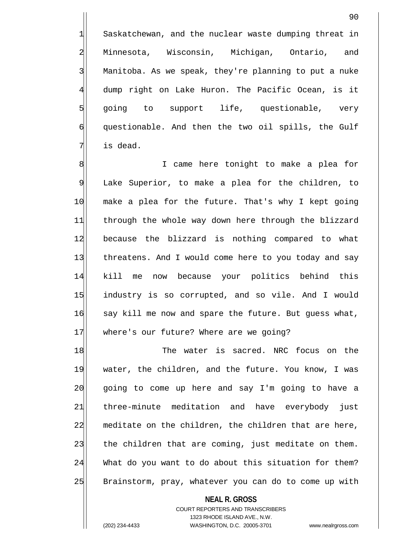1 Saskatchewan, and the nuclear waste dumping threat in 2 Minnesota, Wisconsin, Michigan, Ontario, and 3 Manitoba. As we speak, they're planning to put a nuke  $4$  dump right on Lake Huron. The Pacific Ocean, is it 5 | going to support life, questionable, very 6 6 questionable. And then the two oil spills, the Gulf 7 is dead.

8 8 8 I came here tonight to make a plea for 9 Lake Superior, to make a plea for the children, to 10 make a plea for the future. That's why I kept going 11 through the whole way down here through the blizzard 12 because the blizzard is nothing compared to what 13 threatens. And I would come here to you today and say 14 kill me now because your politics behind this 15 industry is so corrupted, and so vile. And I would 16 say kill me now and spare the future. But guess what, 17 where's our future? Where are we going?

18 The water is sacred. NRC focus on the 19 water, the children, and the future. You know, I was 20 going to come up here and say I'm going to have a 21 three-minute meditation and have everybody just 22 meditate on the children, the children that are here, 23 the children that are coming, just meditate on them. 24 What do you want to do about this situation for them? 25 Brainstorm, pray, whatever you can do to come up with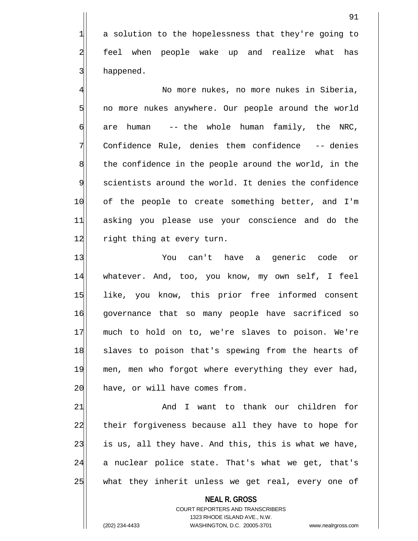1 a solution to the hopelessness that they're going to 2 feel when people wake up and realize what has 3 happened.

4 No more nukes, no more nukes in Siberia, 5 | no more nukes anywhere. Our people around the world  $6$  are human -- the whole human family, the NRC, 7 Confidence Rule, denies them confidence -- denies 8 the confidence in the people around the world, in the 9 scientists around the world. It denies the confidence 10 of the people to create something better, and I'm 11 asking you please use your conscience and do the 12 right thing at every turn.

13 You can't have a generic code or 14 whatever. And, too, you know, my own self, I feel 15 like, you know, this prior free informed consent 16 governance that so many people have sacrificed so 17 much to hold on to, we're slaves to poison. We're 18 slaves to poison that's spewing from the hearts of 19 men, men who forgot where everything they ever had, 20 have, or will have comes from.

21 and I want to thank our children for 22 their forgiveness because all they have to hope for 23 is us, all they have. And this, this is what we have, 24 a nuclear police state. That's what we get, that's 25 what they inherit unless we get real, every one of

> **NEAL R. GROSS** COURT REPORTERS AND TRANSCRIBERS 1323 RHODE ISLAND AVE., N.W. (202) 234-4433 WASHINGTON, D.C. 20005-3701 www.nealrgross.com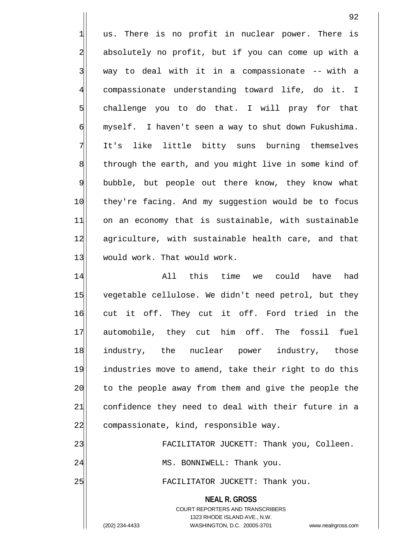$1$  us. There is no profit in nuclear power. There is 2 absolutely no profit, but if you can come up with a  $3$  way to deal with it in a compassionate -- with a 4 compassionate understanding toward life, do it. I 5 Sol challenge you to do that. I will pray for that  $6$  myself. I haven't seen a way to shut down Fukushima. 7 It's like little bitty suns burning themselves 8 through the earth, and you might live in some kind of 9 bubble, but people out there know, they know what 10 they're facing. And my suggestion would be to focus 11 on an economy that is sustainable, with sustainable 12 agriculture, with sustainable health care, and that 13 would work. That would work.

14 all this time we could have had 15 vegetable cellulose. We didn't need petrol, but they 16 cut it off. They cut it off. Ford tried in the 17 automobile, they cut him off. The fossil fuel 18 industry, the nuclear power industry, those 19 industries move to amend, take their right to do this 20 to the people away from them and give the people the 21 confidence they need to deal with their future in a 22 compassionate, kind, responsible way.

23 FACILITATOR JUCKETT: Thank you, Colleen.

 $24$  MS. BONNIWELL: Thank you.

25 | FACILITATOR JUCKETT: Thank you.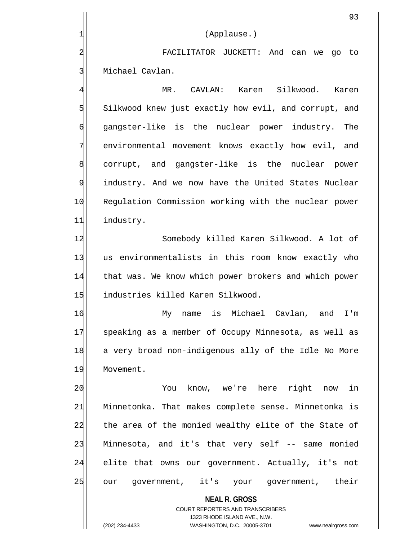|                | 93                                                                                                  |
|----------------|-----------------------------------------------------------------------------------------------------|
| 1              | (Applause.)                                                                                         |
| $\overline{a}$ | FACILITATOR JUCKETT: And can we<br>go to                                                            |
| 3              | Michael Cavlan.                                                                                     |
| $\overline{4}$ | CAVLAN: Karen Silkwood. Karen<br>MR.                                                                |
| 5              | Silkwood knew just exactly how evil, and corrupt, and                                               |
| 6              | gangster-like is the nuclear power industry.<br>The                                                 |
| 7              | environmental movement knows exactly how evil, and                                                  |
| 8              | corrupt, and gangster-like is the nuclear power                                                     |
| 9              | industry. And we now have the United States Nuclear                                                 |
| 10             | Regulation Commission working with the nuclear power                                                |
| 11             | industry.                                                                                           |
| 12             | Somebody killed Karen Silkwood. A lot of                                                            |
| 13             | us environmentalists in this room know exactly who                                                  |
| 14             | that was. We know which power brokers and which power                                               |
| 15             | industries killed Karen Silkwood.                                                                   |
| 16             | is Michael Cavlan, and<br>Мy<br>I'm<br>name                                                         |
| 17             | speaking as a member of Occupy Minnesota, as well as                                                |
| 18             | a very broad non-indigenous ally of the Idle No More                                                |
| 19             | Movement.                                                                                           |
| 20             | know, we're here right now in<br>You                                                                |
| 21             | Minnetonka. That makes complete sense. Minnetonka is                                                |
| 22             | the area of the monied wealthy elite of the State of                                                |
| 23             | Minnesota, and it's that very self -- same monied                                                   |
| 24             | elite that owns our government. Actually, it's not                                                  |
| 25             | our government, it's your government, their                                                         |
|                | <b>NEAL R. GROSS</b>                                                                                |
|                | <b>COURT REPORTERS AND TRANSCRIBERS</b>                                                             |
|                | 1323 RHODE ISLAND AVE., N.W.<br>(202) 234-4433<br>WASHINGTON, D.C. 20005-3701<br>www.nealrgross.com |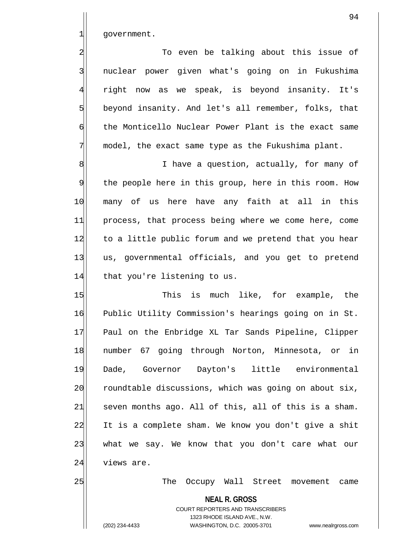1| government.

2 2 3 | nuclear power given what's going on in Fukushima 4 right now as we speak, is beyond insanity. It's 5 beyond insanity. And let's all remember, folks, that 6 the Monticello Nuclear Power Plant is the exact same 7 model, the exact same type as the Fukushima plant.

8 8 8 I have a question, actually, for many of 9 the people here in this group, here in this room. How 10 many of us here have any faith at all in this 11 process, that process being where we come here, come 12 to a little public forum and we pretend that you hear 13 us, governmental officials, and you get to pretend  $14$  that you're listening to us.

15 15 This is much like, for example, the 16 Public Utility Commission's hearings going on in St. 17 Paul on the Enbridge XL Tar Sands Pipeline, Clipper 18 | number 67 going through Norton, Minnesota, or in 19 Dade, Governor Dayton's little environmental 20 roundtable discussions, which was going on about six, 21 seven months ago. All of this, all of this is a sham. 22 It is a complete sham. We know you don't give a shit 23 what we say. We know that you don't care what our 24 views are.

25 and 25 The Occupy Wall Street movement came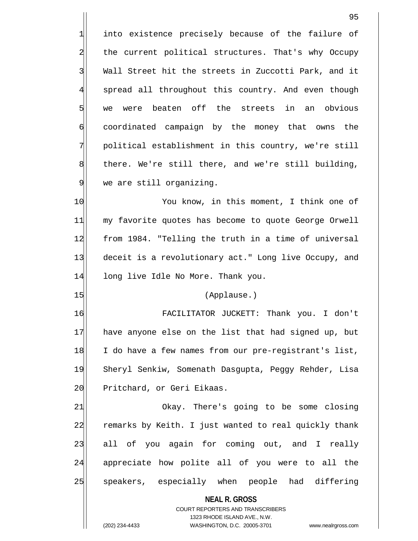|                | 95                                                                                                  |
|----------------|-----------------------------------------------------------------------------------------------------|
| $\mathbf{1}$   | into existence precisely because of the failure of                                                  |
| $\overline{a}$ | the current political structures. That's why Occupy                                                 |
| 3              | Wall Street hit the streets in Zuccotti Park, and it                                                |
| $\overline{4}$ | spread all throughout this country. And even though                                                 |
| 5              | beaten off the streets in an obvious<br>were<br>we                                                  |
| 6              | coordinated campaign by the money that owns the                                                     |
| 7              | political establishment in this country, we're still                                                |
| 8              | there. We're still there, and we're still building,                                                 |
| 9              | we are still organizing.                                                                            |
| 10             | You know, in this moment, I think one of                                                            |
| 11             | my favorite quotes has become to quote George Orwell                                                |
| 12             | from 1984. "Telling the truth in a time of universal                                                |
| 13             | deceit is a revolutionary act." Long live Occupy, and                                               |
| 14             | long live Idle No More. Thank you.                                                                  |
| 15             | (Applause.)                                                                                         |
| 16             | FACILITATOR JUCKETT: Thank you. I don't                                                             |
| 17             | have anyone else on the list that had signed up, but                                                |
| 18             | I do have a few names from our pre-registrant's list,                                               |
| 19             | Sheryl Senkiw, Somenath Dasgupta, Peggy Rehder, Lisa                                                |
| 20             | Pritchard, or Geri Eikaas.                                                                          |
| 21             | Okay. There's going to be some closing                                                              |
| 22             | remarks by Keith. I just wanted to real quickly thank                                               |
| 23             | all of you again for coming out, and I really                                                       |
| 24             | appreciate how polite all of you were to all the                                                    |
| 25             | speakers, especially when people had differing                                                      |
|                | <b>NEAL R. GROSS</b>                                                                                |
|                | COURT REPORTERS AND TRANSCRIBERS                                                                    |
|                | 1323 RHODE ISLAND AVE., N.W.<br>(202) 234-4433<br>WASHINGTON, D.C. 20005-3701<br>www.nealrgross.com |